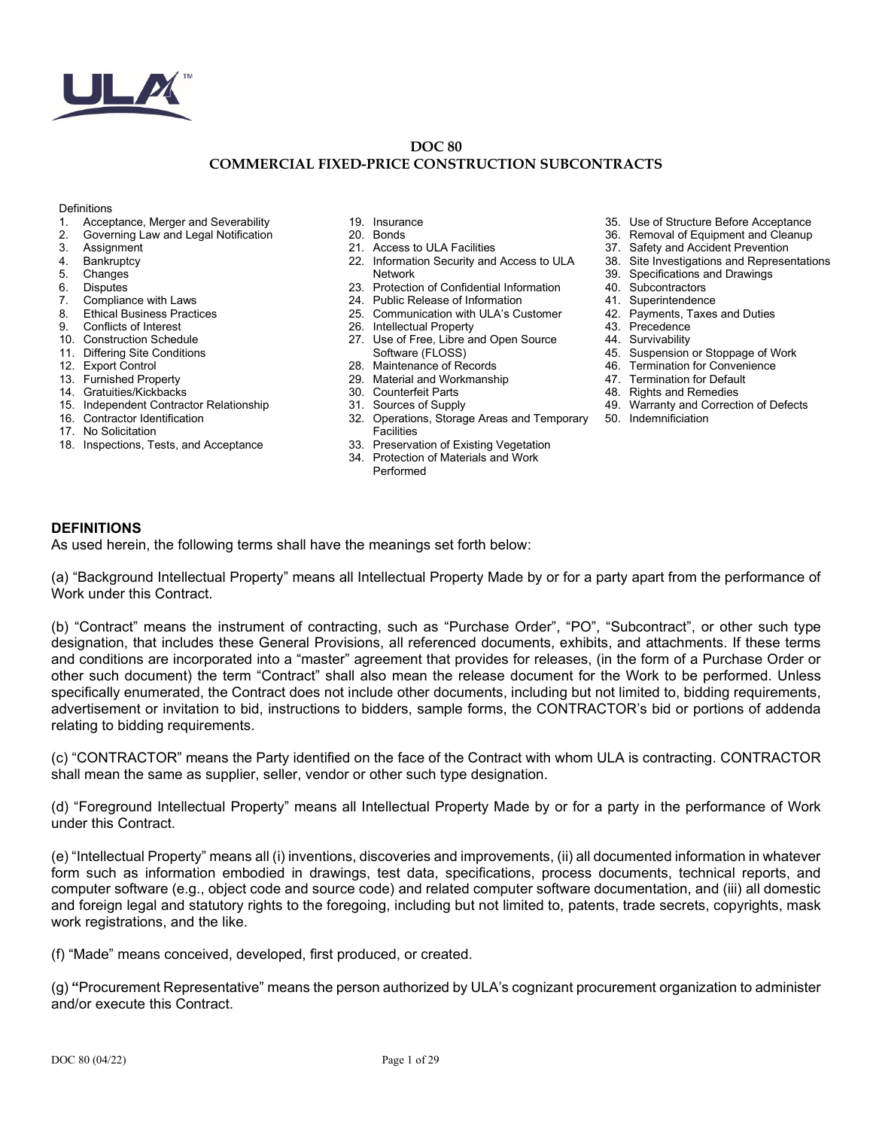

#### **DOC 80 COMMERCIAL FIXED-PRICE CONSTRUCTION SUBCONTRACTS**

#### **Definitions**

- 1. Acceptance, Merger and Severability
- 2. Governing Law and Legal Notification
- **Assignment**
- 4. Bankruptcy
- 5. Changes
- 6. Disputes<br>7. Compliar
- Compliance with Laws
- 8. Ethical Business Practices
- 9. Conflicts of Interest
- 10. Construction Schedule
- 11. Differing Site Conditions
- 12. Export Control
- 13. Furnished Property
- 14. Gratuities/Kickbacks
- 15. Independent Contractor Relationship
- 16. Contractor Identification
- 17. No Solicitation
- 18. Inspections, Tests, and Acceptance
- 19. Insurance
- 20. Bonds
	- 21. Access to ULA Facilities
	- 22. Information Security and Access to ULA Network
- 23. Protection of Confidential Information
- 24. Public Release of Information
- 25. Communication with ULA's Customer
- 26. Intellectual Property
- 27. Use of Free, Libre and Open Source Software (FLOSS)
- 28. Maintenance of Records
- 29. Material and Workmanship
- 30. Counterfeit Parts
- 31. Sources of Supply
- 32. Operations, Storage Areas and Temporary **Facilities**
- 33. Preservation of Existing Vegetation
- 34. Protection of Materials and Work
	- Performed
- 35. Use of Structure Before Acceptance
- 36. Removal of Equipment and Cleanup<br>37. Safety and Accident Prevention
- Safety and Accident Prevention
- 38. Site Investigations and Representations
- 39. Specifications and Drawings
- 40. Subcontractors
- 41. Superintendence
- 42. Payments, Taxes and Duties
- 43. Precedence
- 44. Survivability
- 45. Suspension or Stoppage of Work
- 46. Termination for Convenience
	- 47. Termination for Default
	- 48. Rights and Remedies
	- 49. Warranty and Correction of Defects
	- 50. Indemnificiation

# **DEFINITIONS**

As used herein, the following terms shall have the meanings set forth below:

(a) "Background Intellectual Property" means all Intellectual Property Made by or for a party apart from the performance of Work under this Contract.

(b) "Contract" means the instrument of contracting, such as "Purchase Order", "PO", "Subcontract", or other such type designation, that includes these General Provisions, all referenced documents, exhibits, and attachments. If these terms and conditions are incorporated into a "master" agreement that provides for releases, (in the form of a Purchase Order or other such document) the term "Contract" shall also mean the release document for the Work to be performed. Unless specifically enumerated, the Contract does not include other documents, including but not limited to, bidding requirements, advertisement or invitation to bid, instructions to bidders, sample forms, the CONTRACTOR's bid or portions of addenda relating to bidding requirements.

(c) "CONTRACTOR" means the Party identified on the face of the Contract with whom ULA is contracting. CONTRACTOR shall mean the same as supplier, seller, vendor or other such type designation.

(d) "Foreground Intellectual Property" means all Intellectual Property Made by or for a party in the performance of Work under this Contract.

(e) "Intellectual Property" means all (i) inventions, discoveries and improvements, (ii) all documented information in whatever form such as information embodied in drawings, test data, specifications, process documents, technical reports, and computer software (e.g., object code and source code) and related computer software documentation, and (iii) all domestic and foreign legal and statutory rights to the foregoing, including but not limited to, patents, trade secrets, copyrights, mask work registrations, and the like.

(f) "Made" means conceived, developed, first produced, or created.

(g) **"**Procurement Representative" means the person authorized by ULA's cognizant procurement organization to administer and/or execute this Contract.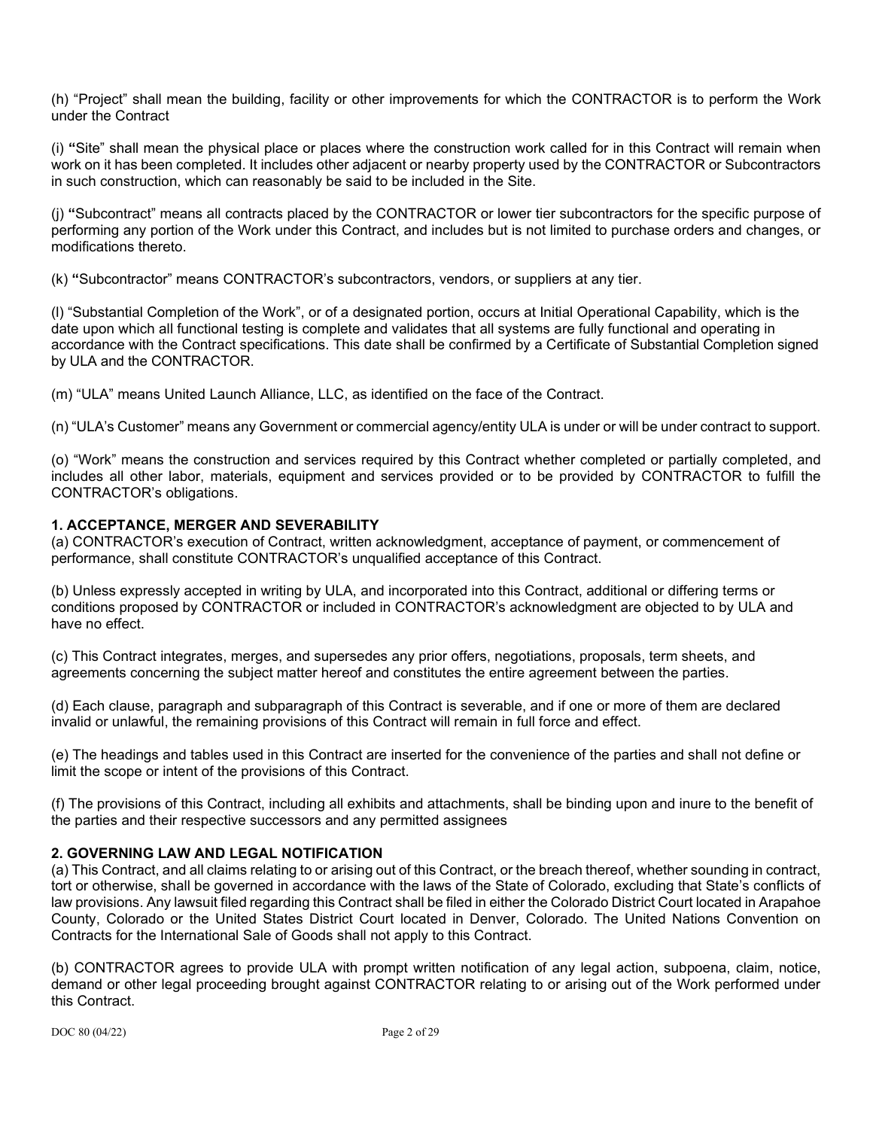(h) "Project" shall mean the building, facility or other improvements for which the CONTRACTOR is to perform the Work under the Contract

(i) **"**Site" shall mean the physical place or places where the construction work called for in this Contract will remain when work on it has been completed. It includes other adjacent or nearby property used by the CONTRACTOR or Subcontractors in such construction, which can reasonably be said to be included in the Site.

(j) **"**Subcontract" means all contracts placed by the CONTRACTOR or lower tier subcontractors for the specific purpose of performing any portion of the Work under this Contract, and includes but is not limited to purchase orders and changes, or modifications thereto.

(k) **"**Subcontractor" means CONTRACTOR's subcontractors, vendors, or suppliers at any tier.

(l) "Substantial Completion of the Work", or of a designated portion, occurs at Initial Operational Capability, which is the date upon which all functional testing is complete and validates that all systems are fully functional and operating in accordance with the Contract specifications. This date shall be confirmed by a Certificate of Substantial Completion signed by ULA and the CONTRACTOR.

(m) "ULA" means United Launch Alliance, LLC, as identified on the face of the Contract.

(n) "ULA's Customer" means any Government or commercial agency/entity ULA is under or will be under contract to support.

(o) "Work" means the construction and services required by this Contract whether completed or partially completed, and includes all other labor, materials, equipment and services provided or to be provided by CONTRACTOR to fulfill the CONTRACTOR's obligations.

## **1. ACCEPTANCE, MERGER AND SEVERABILITY**

(a) CONTRACTOR's execution of Contract, written acknowledgment, acceptance of payment, or commencement of performance, shall constitute CONTRACTOR's unqualified acceptance of this Contract.

(b) Unless expressly accepted in writing by ULA, and incorporated into this Contract, additional or differing terms or conditions proposed by CONTRACTOR or included in CONTRACTOR's acknowledgment are objected to by ULA and have no effect.

(c) This Contract integrates, merges, and supersedes any prior offers, negotiations, proposals, term sheets, and agreements concerning the subject matter hereof and constitutes the entire agreement between the parties.

(d) Each clause, paragraph and subparagraph of this Contract is severable, and if one or more of them are declared invalid or unlawful, the remaining provisions of this Contract will remain in full force and effect.

(e) The headings and tables used in this Contract are inserted for the convenience of the parties and shall not define or limit the scope or intent of the provisions of this Contract.

(f) The provisions of this Contract, including all exhibits and attachments, shall be binding upon and inure to the benefit of the parties and their respective successors and any permitted assignees

## **2. GOVERNING LAW AND LEGAL NOTIFICATION**

(a) This Contract, and all claims relating to or arising out of this Contract, or the breach thereof, whether sounding in contract, tort or otherwise, shall be governed in accordance with the laws of the State of Colorado, excluding that State's conflicts of law provisions. Any lawsuit filed regarding this Contract shall be filed in either the Colorado District Court located in Arapahoe County, Colorado or the United States District Court located in Denver, Colorado. The United Nations Convention on Contracts for the International Sale of Goods shall not apply to this Contract.

(b) CONTRACTOR agrees to provide ULA with prompt written notification of any legal action, subpoena, claim, notice, demand or other legal proceeding brought against CONTRACTOR relating to or arising out of the Work performed under this Contract.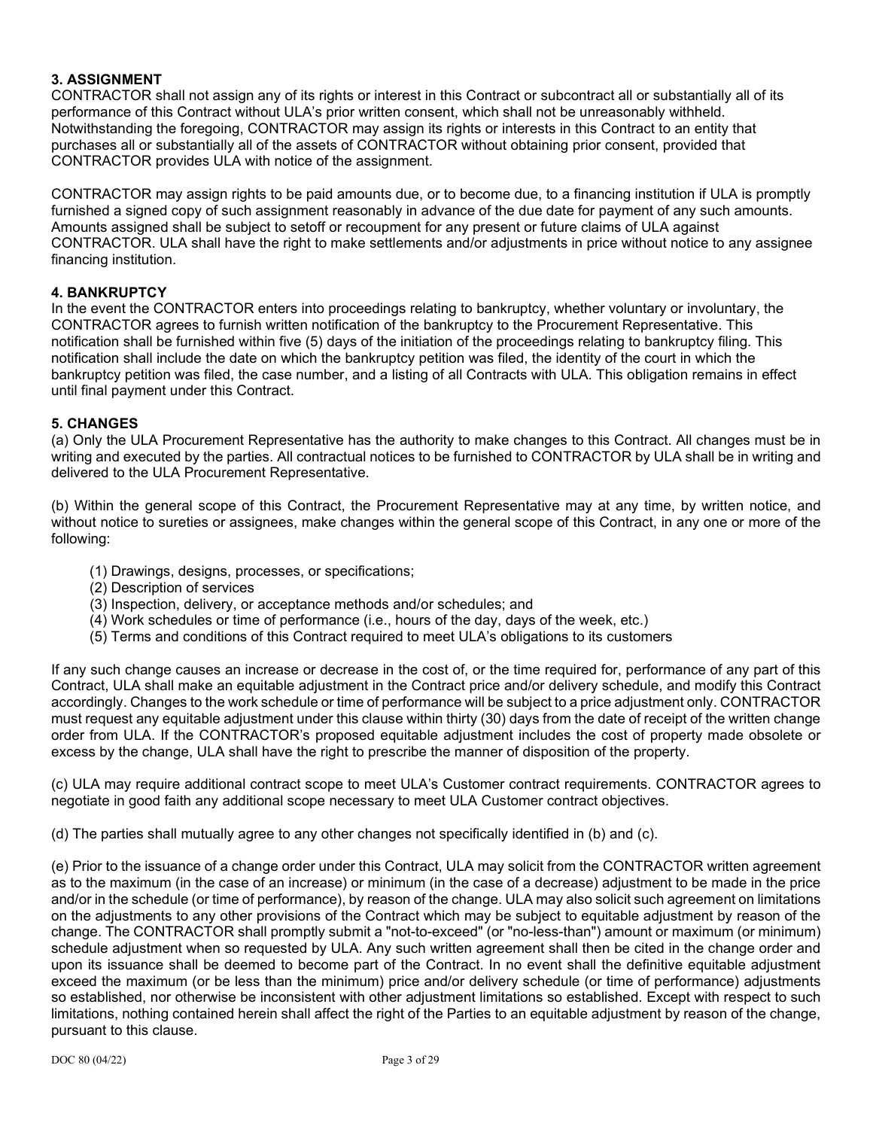## **3. ASSIGNMENT**

CONTRACTOR shall not assign any of its rights or interest in this Contract or subcontract all or substantially all of its performance of this Contract without ULA's prior written consent, which shall not be unreasonably withheld. Notwithstanding the foregoing, CONTRACTOR may assign its rights or interests in this Contract to an entity that purchases all or substantially all of the assets of CONTRACTOR without obtaining prior consent, provided that CONTRACTOR provides ULA with notice of the assignment.

CONTRACTOR may assign rights to be paid amounts due, or to become due, to a financing institution if ULA is promptly furnished a signed copy of such assignment reasonably in advance of the due date for payment of any such amounts. Amounts assigned shall be subject to setoff or recoupment for any present or future claims of ULA against CONTRACTOR. ULA shall have the right to make settlements and/or adjustments in price without notice to any assignee financing institution.

### **4. BANKRUPTCY**

In the event the CONTRACTOR enters into proceedings relating to bankruptcy, whether voluntary or involuntary, the CONTRACTOR agrees to furnish written notification of the bankruptcy to the Procurement Representative. This notification shall be furnished within five (5) days of the initiation of the proceedings relating to bankruptcy filing. This notification shall include the date on which the bankruptcy petition was filed, the identity of the court in which the bankruptcy petition was filed, the case number, and a listing of all Contracts with ULA. This obligation remains in effect until final payment under this Contract.

#### **5. CHANGES**

(a) Only the ULA Procurement Representative has the authority to make changes to this Contract. All changes must be in writing and executed by the parties. All contractual notices to be furnished to CONTRACTOR by ULA shall be in writing and delivered to the ULA Procurement Representative.

(b) Within the general scope of this Contract, the Procurement Representative may at any time, by written notice, and without notice to sureties or assignees, make changes within the general scope of this Contract, in any one or more of the following:

- (1) Drawings, designs, processes, or specifications;
- (2) Description of services
- (3) Inspection, delivery, or acceptance methods and/or schedules; and
- (4) Work schedules or time of performance (i.e., hours of the day, days of the week, etc.)
- (5) Terms and conditions of this Contract required to meet ULA's obligations to its customers

If any such change causes an increase or decrease in the cost of, or the time required for, performance of any part of this Contract, ULA shall make an equitable adjustment in the Contract price and/or delivery schedule, and modify this Contract accordingly. Changes to the work schedule or time of performance will be subject to a price adjustment only. CONTRACTOR must request any equitable adjustment under this clause within thirty (30) days from the date of receipt of the written change order from ULA. If the CONTRACTOR's proposed equitable adjustment includes the cost of property made obsolete or excess by the change, ULA shall have the right to prescribe the manner of disposition of the property.

(c) ULA may require additional contract scope to meet ULA's Customer contract requirements. CONTRACTOR agrees to negotiate in good faith any additional scope necessary to meet ULA Customer contract objectives.

(d) The parties shall mutually agree to any other changes not specifically identified in (b) and (c).

(e) Prior to the issuance of a change order under this Contract, ULA may solicit from the CONTRACTOR written agreement as to the maximum (in the case of an increase) or minimum (in the case of a decrease) adjustment to be made in the price and/or in the schedule (or time of performance), by reason of the change. ULA may also solicit such agreement on limitations on the adjustments to any other provisions of the Contract which may be subject to equitable adjustment by reason of the change. The CONTRACTOR shall promptly submit a "not-to-exceed" (or "no-less-than") amount or maximum (or minimum) schedule adjustment when so requested by ULA. Any such written agreement shall then be cited in the change order and upon its issuance shall be deemed to become part of the Contract. In no event shall the definitive equitable adjustment exceed the maximum (or be less than the minimum) price and/or delivery schedule (or time of performance) adjustments so established, nor otherwise be inconsistent with other adjustment limitations so established. Except with respect to such limitations, nothing contained herein shall affect the right of the Parties to an equitable adjustment by reason of the change, pursuant to this clause.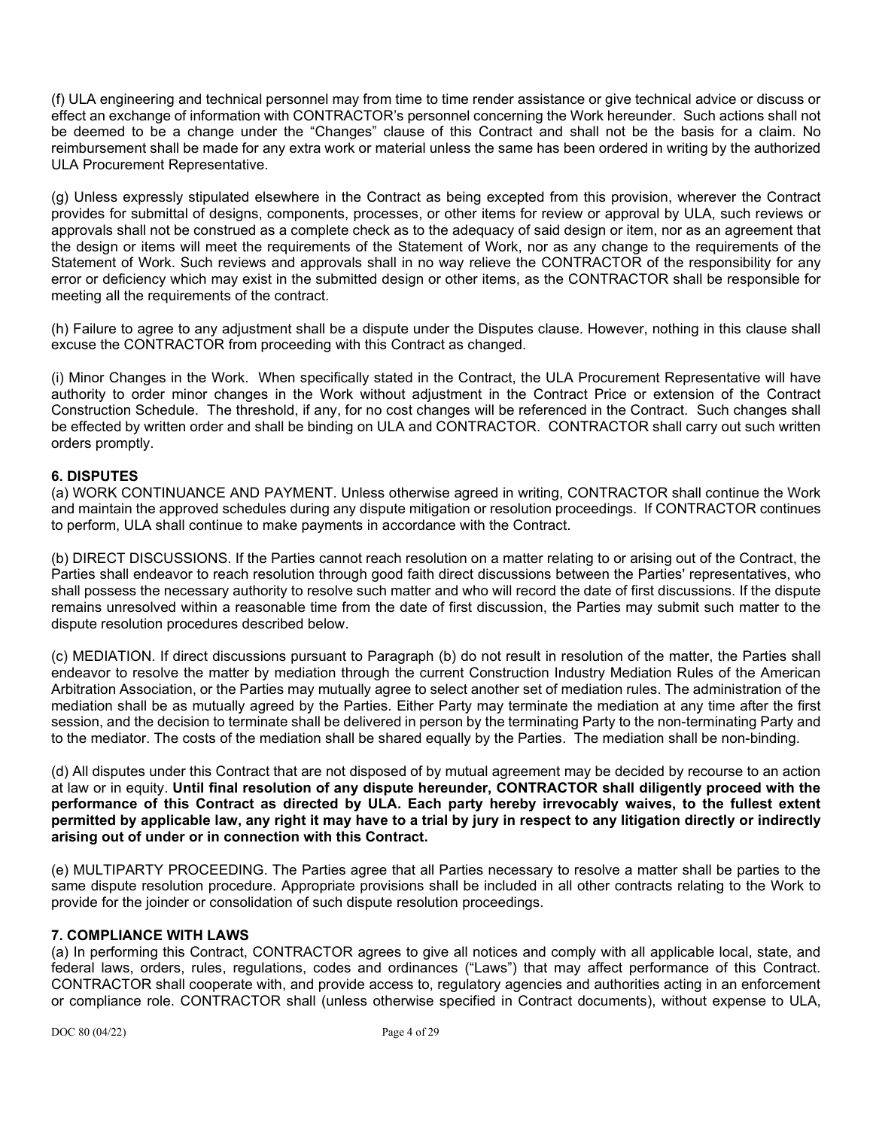(f) ULA engineering and technical personnel may from time to time render assistance or give technical advice or discuss or effect an exchange of information with CONTRACTOR's personnel concerning the Work hereunder. Such actions shall not be deemed to be a change under the "Changes" clause of this Contract and shall not be the basis for a claim. No reimbursement shall be made for any extra work or material unless the same has been ordered in writing by the authorized ULA Procurement Representative.

(g) Unless expressly stipulated elsewhere in the Contract as being excepted from this provision, wherever the Contract provides for submittal of designs, components, processes, or other items for review or approval by ULA, such reviews or approvals shall not be construed as a complete check as to the adequacy of said design or item, nor as an agreement that the design or items will meet the requirements of the Statement of Work, nor as any change to the requirements of the Statement of Work. Such reviews and approvals shall in no way relieve the CONTRACTOR of the responsibility for any error or deficiency which may exist in the submitted design or other items, as the CONTRACTOR shall be responsible for meeting all the requirements of the contract.

(h) Failure to agree to any adjustment shall be a dispute under the Disputes clause. However, nothing in this clause shall excuse the CONTRACTOR from proceeding with this Contract as changed.

(i) Minor Changes in the Work. When specifically stated in the Contract, the ULA Procurement Representative will have authority to order minor changes in the Work without adjustment in the Contract Price or extension of the Contract Construction Schedule. The threshold, if any, for no cost changes will be referenced in the Contract. Such changes shall be effected by written order and shall be binding on ULA and CONTRACTOR. CONTRACTOR shall carry out such written orders promptly.

### **6. DISPUTES**

(a) WORK CONTINUANCE AND PAYMENT. Unless otherwise agreed in writing, CONTRACTOR shall continue the Work and maintain the approved schedules during any dispute mitigation or resolution proceedings. If CONTRACTOR continues to perform, ULA shall continue to make payments in accordance with the Contract.

(b) DIRECT DISCUSSIONS. If the Parties cannot reach resolution on a matter relating to or arising out of the Contract, the Parties shall endeavor to reach resolution through good faith direct discussions between the Parties' representatives, who shall possess the necessary authority to resolve such matter and who will record the date of first discussions. If the dispute remains unresolved within a reasonable time from the date of first discussion, the Parties may submit such matter to the dispute resolution procedures described below.

(c) MEDIATION. If direct discussions pursuant to Paragraph (b) do not result in resolution of the matter, the Parties shall endeavor to resolve the matter by mediation through the current Construction Industry Mediation Rules of the American Arbitration Association, or the Parties may mutually agree to select another set of mediation rules. The administration of the mediation shall be as mutually agreed by the Parties. Either Party may terminate the mediation at any time after the first session, and the decision to terminate shall be delivered in person by the terminating Party to the non-terminating Party and to the mediator. The costs of the mediation shall be shared equally by the Parties. The mediation shall be non-binding.

(d) All disputes under this Contract that are not disposed of by mutual agreement may be decided by recourse to an action at law or in equity. **Until final resolution of any dispute hereunder, CONTRACTOR shall diligently proceed with the performance of this Contract as directed by ULA. Each party hereby irrevocably waives, to the fullest extent permitted by applicable law, any right it may have to a trial by jury in respect to any litigation directly or indirectly arising out of under or in connection with this Contract.**

(e) MULTIPARTY PROCEEDING. The Parties agree that all Parties necessary to resolve a matter shall be parties to the same dispute resolution procedure. Appropriate provisions shall be included in all other contracts relating to the Work to provide for the joinder or consolidation of such dispute resolution proceedings.

## **7. COMPLIANCE WITH LAWS**

(a) In performing this Contract, CONTRACTOR agrees to give all notices and comply with all applicable local, state, and federal laws, orders, rules, regulations, codes and ordinances ("Laws") that may affect performance of this Contract. CONTRACTOR shall cooperate with, and provide access to, regulatory agencies and authorities acting in an enforcement or compliance role. CONTRACTOR shall (unless otherwise specified in Contract documents), without expense to ULA,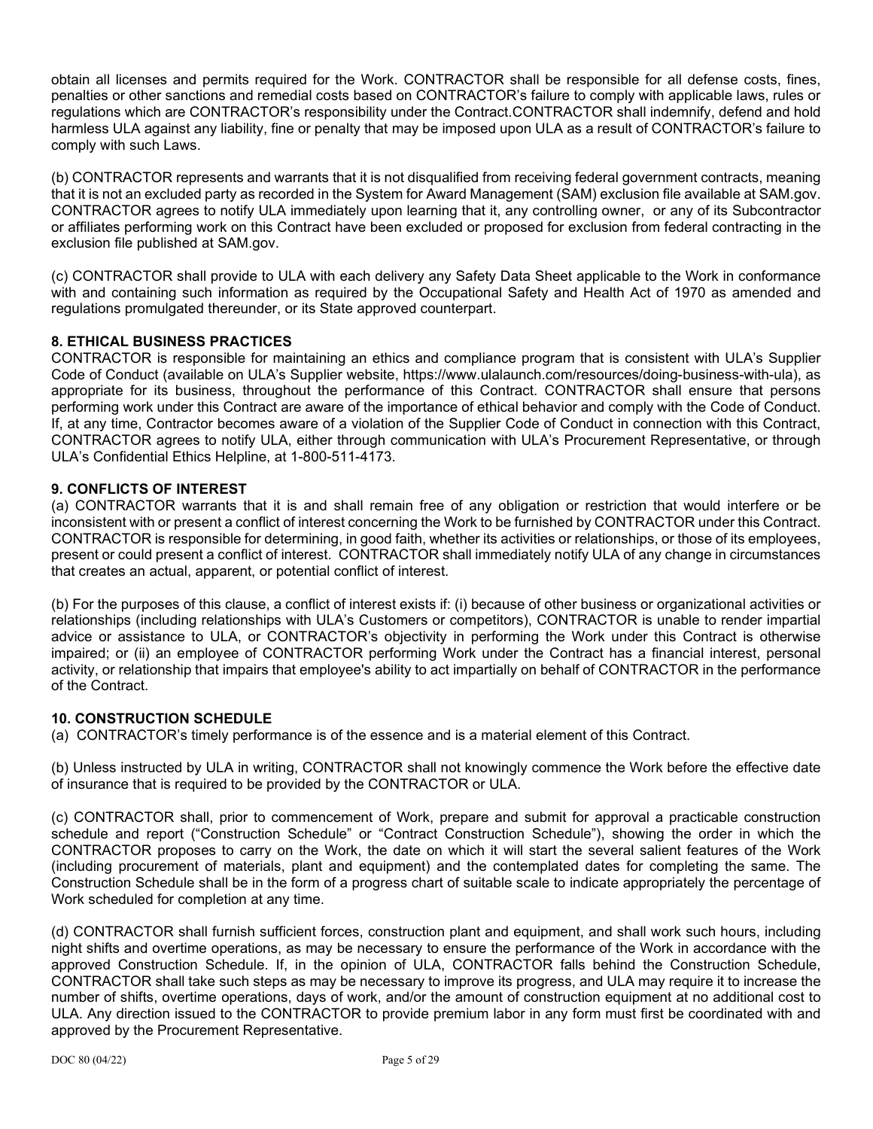obtain all licenses and permits required for the Work. CONTRACTOR shall be responsible for all defense costs, fines, penalties or other sanctions and remedial costs based on CONTRACTOR's failure to comply with applicable laws, rules or regulations which are CONTRACTOR's responsibility under the Contract.CONTRACTOR shall indemnify, defend and hold harmless ULA against any liability, fine or penalty that may be imposed upon ULA as a result of CONTRACTOR's failure to comply with such Laws.

(b) CONTRACTOR represents and warrants that it is not disqualified from receiving federal government contracts, meaning that it is not an excluded party as recorded in the System for Award Management (SAM) exclusion file available at SAM.gov. CONTRACTOR agrees to notify ULA immediately upon learning that it, any controlling owner, or any of its Subcontractor or affiliates performing work on this Contract have been excluded or proposed for exclusion from federal contracting in the exclusion file published at SAM.gov.

(c) CONTRACTOR shall provide to ULA with each delivery any Safety Data Sheet applicable to the Work in conformance with and containing such information as required by the Occupational Safety and Health Act of 1970 as amended and regulations promulgated thereunder, or its State approved counterpart.

## **8. ETHICAL BUSINESS PRACTICES**

CONTRACTOR is responsible for maintaining an ethics and compliance program that is consistent with ULA's Supplier Code of Conduct (available on ULA's Supplier website, https://www.ulalaunch.com/resources/doing-business-with-ula), as appropriate for its business, throughout the performance of this Contract. CONTRACTOR shall ensure that persons performing work under this Contract are aware of the importance of ethical behavior and comply with the Code of Conduct. If, at any time, Contractor becomes aware of a violation of the Supplier Code of Conduct in connection with this Contract, CONTRACTOR agrees to notify ULA, either through communication with ULA's Procurement Representative, or through ULA's Confidential Ethics Helpline, at 1-800-511-4173.

# **9. CONFLICTS OF INTEREST**

(a) CONTRACTOR warrants that it is and shall remain free of any obligation or restriction that would interfere or be inconsistent with or present a conflict of interest concerning the Work to be furnished by CONTRACTOR under this Contract. CONTRACTOR is responsible for determining, in good faith, whether its activities or relationships, or those of its employees, present or could present a conflict of interest. CONTRACTOR shall immediately notify ULA of any change in circumstances that creates an actual, apparent, or potential conflict of interest.

(b) For the purposes of this clause, a conflict of interest exists if: (i) because of other business or organizational activities or relationships (including relationships with ULA's Customers or competitors), CONTRACTOR is unable to render impartial advice or assistance to ULA, or CONTRACTOR's objectivity in performing the Work under this Contract is otherwise impaired; or (ii) an employee of CONTRACTOR performing Work under the Contract has a financial interest, personal activity, or relationship that impairs that employee's ability to act impartially on behalf of CONTRACTOR in the performance of the Contract.

## **10. CONSTRUCTION SCHEDULE**

(a) CONTRACTOR's timely performance is of the essence and is a material element of this Contract.

(b) Unless instructed by ULA in writing, CONTRACTOR shall not knowingly commence the Work before the effective date of insurance that is required to be provided by the CONTRACTOR or ULA.

(c) CONTRACTOR shall, prior to commencement of Work, prepare and submit for approval a practicable construction schedule and report ("Construction Schedule" or "Contract Construction Schedule"), showing the order in which the CONTRACTOR proposes to carry on the Work, the date on which it will start the several salient features of the Work (including procurement of materials, plant and equipment) and the contemplated dates for completing the same. The Construction Schedule shall be in the form of a progress chart of suitable scale to indicate appropriately the percentage of Work scheduled for completion at any time.

(d) CONTRACTOR shall furnish sufficient forces, construction plant and equipment, and shall work such hours, including night shifts and overtime operations, as may be necessary to ensure the performance of the Work in accordance with the approved Construction Schedule. If, in the opinion of ULA, CONTRACTOR falls behind the Construction Schedule, CONTRACTOR shall take such steps as may be necessary to improve its progress, and ULA may require it to increase the number of shifts, overtime operations, days of work, and/or the amount of construction equipment at no additional cost to ULA. Any direction issued to the CONTRACTOR to provide premium labor in any form must first be coordinated with and approved by the Procurement Representative.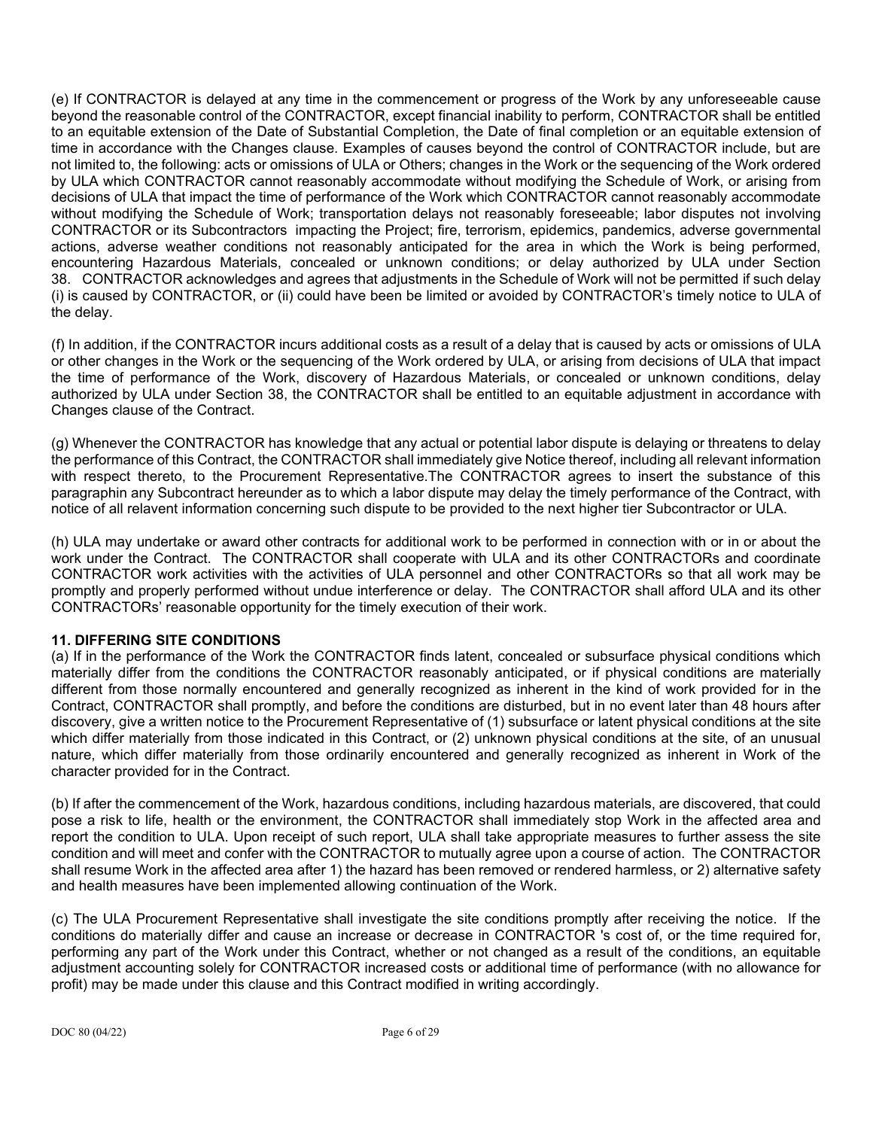(e) If CONTRACTOR is delayed at any time in the commencement or progress of the Work by any unforeseeable cause beyond the reasonable control of the CONTRACTOR, except financial inability to perform, CONTRACTOR shall be entitled to an equitable extension of the Date of Substantial Completion, the Date of final completion or an equitable extension of time in accordance with the Changes clause. Examples of causes beyond the control of CONTRACTOR include, but are not limited to, the following: acts or omissions of ULA or Others; changes in the Work or the sequencing of the Work ordered by ULA which CONTRACTOR cannot reasonably accommodate without modifying the Schedule of Work, or arising from decisions of ULA that impact the time of performance of the Work which CONTRACTOR cannot reasonably accommodate without modifying the Schedule of Work; transportation delays not reasonably foreseeable; labor disputes not involving CONTRACTOR or its Subcontractors impacting the Project; fire, terrorism, epidemics, pandemics, adverse governmental actions, adverse weather conditions not reasonably anticipated for the area in which the Work is being performed, encountering Hazardous Materials, concealed or unknown conditions; or delay authorized by ULA under Section 38. CONTRACTOR acknowledges and agrees that adjustments in the Schedule of Work will not be permitted if such delay (i) is caused by CONTRACTOR, or (ii) could have been be limited or avoided by CONTRACTOR's timely notice to ULA of the delay.

(f) In addition, if the CONTRACTOR incurs additional costs as a result of a delay that is caused by acts or omissions of ULA or other changes in the Work or the sequencing of the Work ordered by ULA, or arising from decisions of ULA that impact the time of performance of the Work, discovery of Hazardous Materials, or concealed or unknown conditions, delay authorized by ULA under Section 38, the CONTRACTOR shall be entitled to an equitable adjustment in accordance with Changes clause of the Contract.

(g) Whenever the CONTRACTOR has knowledge that any actual or potential labor dispute is delaying or threatens to delay the performance of this Contract, the CONTRACTOR shall immediately give Notice thereof, including all relevant information with respect thereto, to the Procurement Representative.The CONTRACTOR agrees to insert the substance of this paragraphin any Subcontract hereunder as to which a labor dispute may delay the timely performance of the Contract, with notice of all relavent information concerning such dispute to be provided to the next higher tier Subcontractor or ULA.

(h) ULA may undertake or award other contracts for additional work to be performed in connection with or in or about the work under the Contract. The CONTRACTOR shall cooperate with ULA and its other CONTRACTORs and coordinate CONTRACTOR work activities with the activities of ULA personnel and other CONTRACTORs so that all work may be promptly and properly performed without undue interference or delay. The CONTRACTOR shall afford ULA and its other CONTRACTORs' reasonable opportunity for the timely execution of their work.

## **11. DIFFERING SITE CONDITIONS**

(a) If in the performance of the Work the CONTRACTOR finds latent, concealed or subsurface physical conditions which materially differ from the conditions the CONTRACTOR reasonably anticipated, or if physical conditions are materially different from those normally encountered and generally recognized as inherent in the kind of work provided for in the Contract, CONTRACTOR shall promptly, and before the conditions are disturbed, but in no event later than 48 hours after discovery, give a written notice to the Procurement Representative of (1) subsurface or latent physical conditions at the site which differ materially from those indicated in this Contract, or (2) unknown physical conditions at the site, of an unusual nature, which differ materially from those ordinarily encountered and generally recognized as inherent in Work of the character provided for in the Contract.

(b) If after the commencement of the Work, hazardous conditions, including hazardous materials, are discovered, that could pose a risk to life, health or the environment, the CONTRACTOR shall immediately stop Work in the affected area and report the condition to ULA. Upon receipt of such report, ULA shall take appropriate measures to further assess the site condition and will meet and confer with the CONTRACTOR to mutually agree upon a course of action. The CONTRACTOR shall resume Work in the affected area after 1) the hazard has been removed or rendered harmless, or 2) alternative safety and health measures have been implemented allowing continuation of the Work.

(c) The ULA Procurement Representative shall investigate the site conditions promptly after receiving the notice. If the conditions do materially differ and cause an increase or decrease in CONTRACTOR 's cost of, or the time required for, performing any part of the Work under this Contract, whether or not changed as a result of the conditions, an equitable adjustment accounting solely for CONTRACTOR increased costs or additional time of performance (with no allowance for profit) may be made under this clause and this Contract modified in writing accordingly.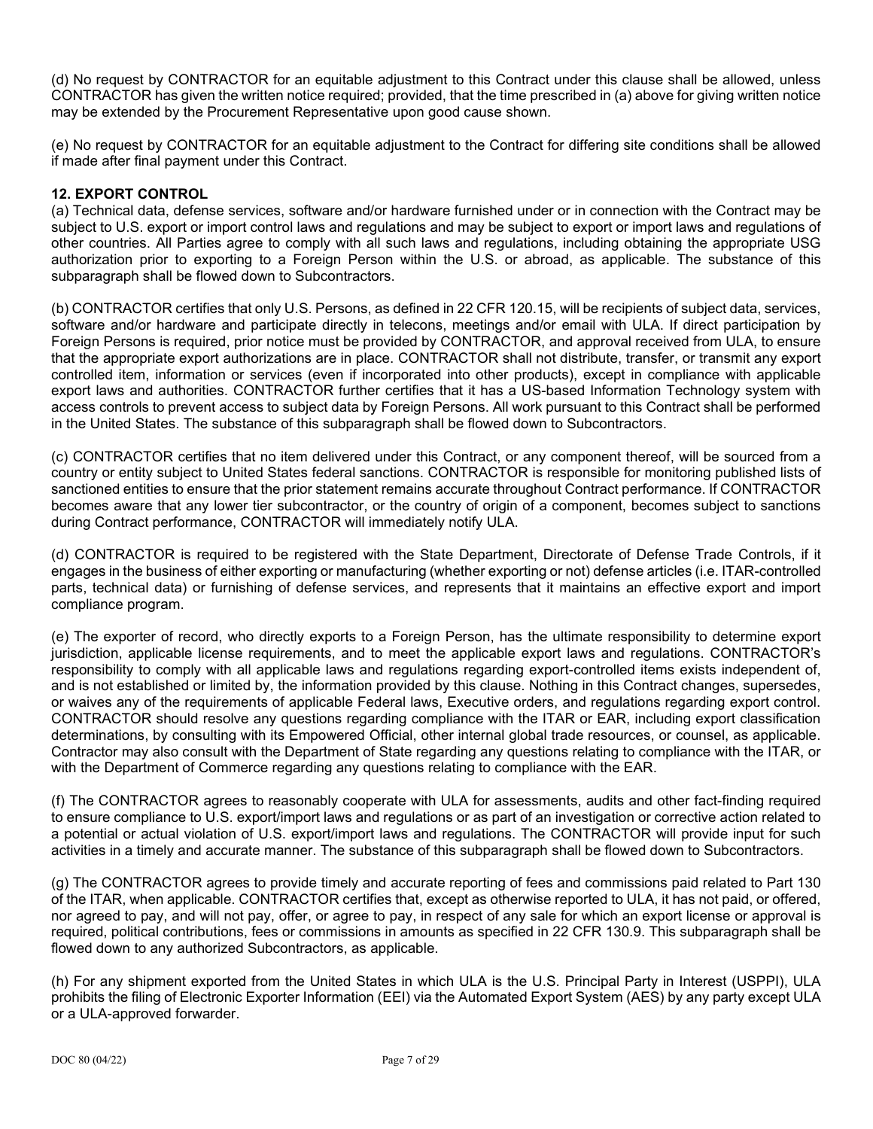(d) No request by CONTRACTOR for an equitable adjustment to this Contract under this clause shall be allowed, unless CONTRACTOR has given the written notice required; provided, that the time prescribed in (a) above for giving written notice may be extended by the Procurement Representative upon good cause shown.

(e) No request by CONTRACTOR for an equitable adjustment to the Contract for differing site conditions shall be allowed if made after final payment under this Contract.

## **12. EXPORT CONTROL**

(a) Technical data, defense services, software and/or hardware furnished under or in connection with the Contract may be subject to U.S. export or import control laws and regulations and may be subject to export or import laws and regulations of other countries. All Parties agree to comply with all such laws and regulations, including obtaining the appropriate USG authorization prior to exporting to a Foreign Person within the U.S. or abroad, as applicable. The substance of this subparagraph shall be flowed down to Subcontractors.

(b) CONTRACTOR certifies that only U.S. Persons, as defined in 22 CFR 120.15, will be recipients of subject data, services, software and/or hardware and participate directly in telecons, meetings and/or email with ULA. If direct participation by Foreign Persons is required, prior notice must be provided by CONTRACTOR, and approval received from ULA, to ensure that the appropriate export authorizations are in place. CONTRACTOR shall not distribute, transfer, or transmit any export controlled item, information or services (even if incorporated into other products), except in compliance with applicable export laws and authorities. CONTRACTOR further certifies that it has a US-based Information Technology system with access controls to prevent access to subject data by Foreign Persons. All work pursuant to this Contract shall be performed in the United States. The substance of this subparagraph shall be flowed down to Subcontractors.

(c) CONTRACTOR certifies that no item delivered under this Contract, or any component thereof, will be sourced from a country or entity subject to United States federal sanctions. CONTRACTOR is responsible for monitoring published lists of sanctioned entities to ensure that the prior statement remains accurate throughout Contract performance. If CONTRACTOR becomes aware that any lower tier subcontractor, or the country of origin of a component, becomes subject to sanctions during Contract performance, CONTRACTOR will immediately notify ULA.

(d) CONTRACTOR is required to be registered with the State Department, Directorate of Defense Trade Controls, if it engages in the business of either exporting or manufacturing (whether exporting or not) defense articles (i.e. ITAR-controlled parts, technical data) or furnishing of defense services, and represents that it maintains an effective export and import compliance program.

(e) The exporter of record, who directly exports to a Foreign Person, has the ultimate responsibility to determine export jurisdiction, applicable license requirements, and to meet the applicable export laws and regulations. CONTRACTOR's responsibility to comply with all applicable laws and regulations regarding export-controlled items exists independent of, and is not established or limited by, the information provided by this clause. Nothing in this Contract changes, supersedes, or waives any of the requirements of applicable Federal laws, Executive orders, and regulations regarding export control. CONTRACTOR should resolve any questions regarding compliance with the ITAR or EAR, including export classification determinations, by consulting with its Empowered Official, other internal global trade resources, or counsel, as applicable. Contractor may also consult with the Department of State regarding any questions relating to compliance with the ITAR, or with the Department of Commerce regarding any questions relating to compliance with the EAR.

(f) The CONTRACTOR agrees to reasonably cooperate with ULA for assessments, audits and other fact-finding required to ensure compliance to U.S. export/import laws and regulations or as part of an investigation or corrective action related to a potential or actual violation of U.S. export/import laws and regulations. The CONTRACTOR will provide input for such activities in a timely and accurate manner. The substance of this subparagraph shall be flowed down to Subcontractors.

(g) The CONTRACTOR agrees to provide timely and accurate reporting of fees and commissions paid related to Part 130 of the ITAR, when applicable. CONTRACTOR certifies that, except as otherwise reported to ULA, it has not paid, or offered, nor agreed to pay, and will not pay, offer, or agree to pay, in respect of any sale for which an export license or approval is required, political contributions, fees or commissions in amounts as specified in 22 CFR 130.9. This subparagraph shall be flowed down to any authorized Subcontractors, as applicable.

(h) For any shipment exported from the United States in which ULA is the U.S. Principal Party in Interest (USPPI), ULA prohibits the filing of Electronic Exporter Information (EEI) via the Automated Export System (AES) by any party except ULA or a ULA-approved forwarder.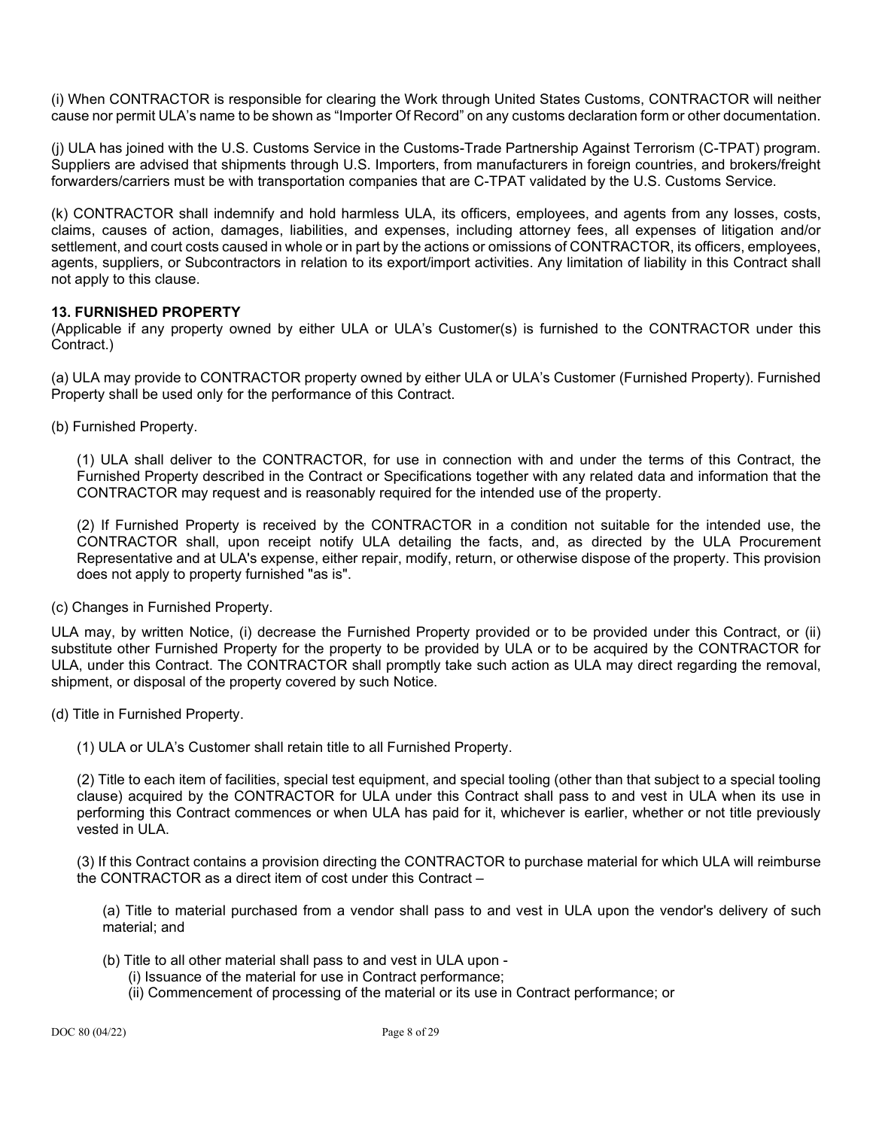(i) When CONTRACTOR is responsible for clearing the Work through United States Customs, CONTRACTOR will neither cause nor permit ULA's name to be shown as "Importer Of Record" on any customs declaration form or other documentation.

(j) ULA has joined with the U.S. Customs Service in the Customs-Trade Partnership Against Terrorism (C-TPAT) program. Suppliers are advised that shipments through U.S. Importers, from manufacturers in foreign countries, and brokers/freight forwarders/carriers must be with transportation companies that are C-TPAT validated by the U.S. Customs Service.

(k) CONTRACTOR shall indemnify and hold harmless ULA, its officers, employees, and agents from any losses, costs, claims, causes of action, damages, liabilities, and expenses, including attorney fees, all expenses of litigation and/or settlement, and court costs caused in whole or in part by the actions or omissions of CONTRACTOR, its officers, employees, agents, suppliers, or Subcontractors in relation to its export/import activities. Any limitation of liability in this Contract shall not apply to this clause.

## **13. FURNISHED PROPERTY**

(Applicable if any property owned by either ULA or ULA's Customer(s) is furnished to the CONTRACTOR under this Contract.)

(a) ULA may provide to CONTRACTOR property owned by either ULA or ULA's Customer (Furnished Property). Furnished Property shall be used only for the performance of this Contract.

(b) Furnished Property.

(1) ULA shall deliver to the CONTRACTOR, for use in connection with and under the terms of this Contract, the Furnished Property described in the Contract or Specifications together with any related data and information that the CONTRACTOR may request and is reasonably required for the intended use of the property.

(2) If Furnished Property is received by the CONTRACTOR in a condition not suitable for the intended use, the CONTRACTOR shall, upon receipt notify ULA detailing the facts, and, as directed by the ULA Procurement Representative and at ULA's expense, either repair, modify, return, or otherwise dispose of the property. This provision does not apply to property furnished "as is".

(c) Changes in Furnished Property.

ULA may, by written Notice, (i) decrease the Furnished Property provided or to be provided under this Contract, or (ii) substitute other Furnished Property for the property to be provided by ULA or to be acquired by the CONTRACTOR for ULA, under this Contract. The CONTRACTOR shall promptly take such action as ULA may direct regarding the removal, shipment, or disposal of the property covered by such Notice.

(d) Title in Furnished Property.

(1) ULA or ULA's Customer shall retain title to all Furnished Property.

(2) Title to each item of facilities, special test equipment, and special tooling (other than that subject to a special tooling clause) acquired by the CONTRACTOR for ULA under this Contract shall pass to and vest in ULA when its use in performing this Contract commences or when ULA has paid for it, whichever is earlier, whether or not title previously vested in ULA.

(3) If this Contract contains a provision directing the CONTRACTOR to purchase material for which ULA will reimburse the CONTRACTOR as a direct item of cost under this Contract –

(a) Title to material purchased from a vendor shall pass to and vest in ULA upon the vendor's delivery of such material; and

- (b) Title to all other material shall pass to and vest in ULA upon
	- (i) Issuance of the material for use in Contract performance;
		- (ii) Commencement of processing of the material or its use in Contract performance; or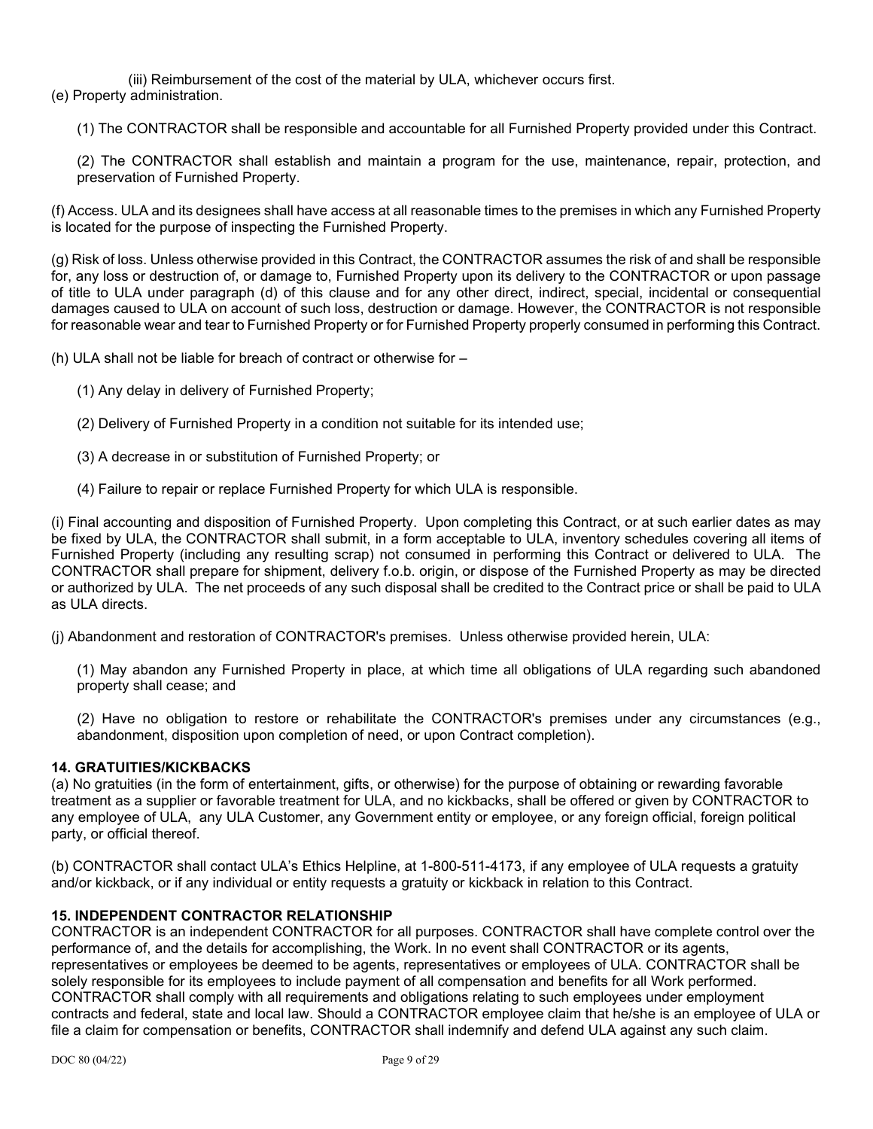(iii) Reimbursement of the cost of the material by ULA, whichever occurs first. (e) Property administration.

(1) The CONTRACTOR shall be responsible and accountable for all Furnished Property provided under this Contract.

(2) The CONTRACTOR shall establish and maintain a program for the use, maintenance, repair, protection, and preservation of Furnished Property.

(f) Access. ULA and its designees shall have access at all reasonable times to the premises in which any Furnished Property is located for the purpose of inspecting the Furnished Property.

(g) Risk of loss. Unless otherwise provided in this Contract, the CONTRACTOR assumes the risk of and shall be responsible for, any loss or destruction of, or damage to, Furnished Property upon its delivery to the CONTRACTOR or upon passage of title to ULA under paragraph (d) of this clause and for any other direct, indirect, special, incidental or consequential damages caused to ULA on account of such loss, destruction or damage. However, the CONTRACTOR is not responsible for reasonable wear and tear to Furnished Property or for Furnished Property properly consumed in performing this Contract.

(h) ULA shall not be liable for breach of contract or otherwise for –

- (1) Any delay in delivery of Furnished Property;
- (2) Delivery of Furnished Property in a condition not suitable for its intended use;
- (3) A decrease in or substitution of Furnished Property; or
- (4) Failure to repair or replace Furnished Property for which ULA is responsible.

(i) Final accounting and disposition of Furnished Property. Upon completing this Contract, or at such earlier dates as may be fixed by ULA, the CONTRACTOR shall submit, in a form acceptable to ULA, inventory schedules covering all items of Furnished Property (including any resulting scrap) not consumed in performing this Contract or delivered to ULA. The CONTRACTOR shall prepare for shipment, delivery f.o.b. origin, or dispose of the Furnished Property as may be directed or authorized by ULA. The net proceeds of any such disposal shall be credited to the Contract price or shall be paid to ULA as ULA directs.

(j) Abandonment and restoration of CONTRACTOR's premises. Unless otherwise provided herein, ULA:

(1) May abandon any Furnished Property in place, at which time all obligations of ULA regarding such abandoned property shall cease; and

(2) Have no obligation to restore or rehabilitate the CONTRACTOR's premises under any circumstances (e.g., abandonment, disposition upon completion of need, or upon Contract completion).

#### **14. GRATUITIES/KICKBACKS**

(a) No gratuities (in the form of entertainment, gifts, or otherwise) for the purpose of obtaining or rewarding favorable treatment as a supplier or favorable treatment for ULA, and no kickbacks, shall be offered or given by CONTRACTOR to any employee of ULA, any ULA Customer, any Government entity or employee, or any foreign official, foreign political party, or official thereof.

(b) CONTRACTOR shall contact ULA's Ethics Helpline, at 1-800-511-4173, if any employee of ULA requests a gratuity and/or kickback, or if any individual or entity requests a gratuity or kickback in relation to this Contract.

#### **15. INDEPENDENT CONTRACTOR RELATIONSHIP**

CONTRACTOR is an independent CONTRACTOR for all purposes. CONTRACTOR shall have complete control over the performance of, and the details for accomplishing, the Work. In no event shall CONTRACTOR or its agents, representatives or employees be deemed to be agents, representatives or employees of ULA. CONTRACTOR shall be solely responsible for its employees to include payment of all compensation and benefits for all Work performed. CONTRACTOR shall comply with all requirements and obligations relating to such employees under employment contracts and federal, state and local law. Should a CONTRACTOR employee claim that he/she is an employee of ULA or file a claim for compensation or benefits, CONTRACTOR shall indemnify and defend ULA against any such claim.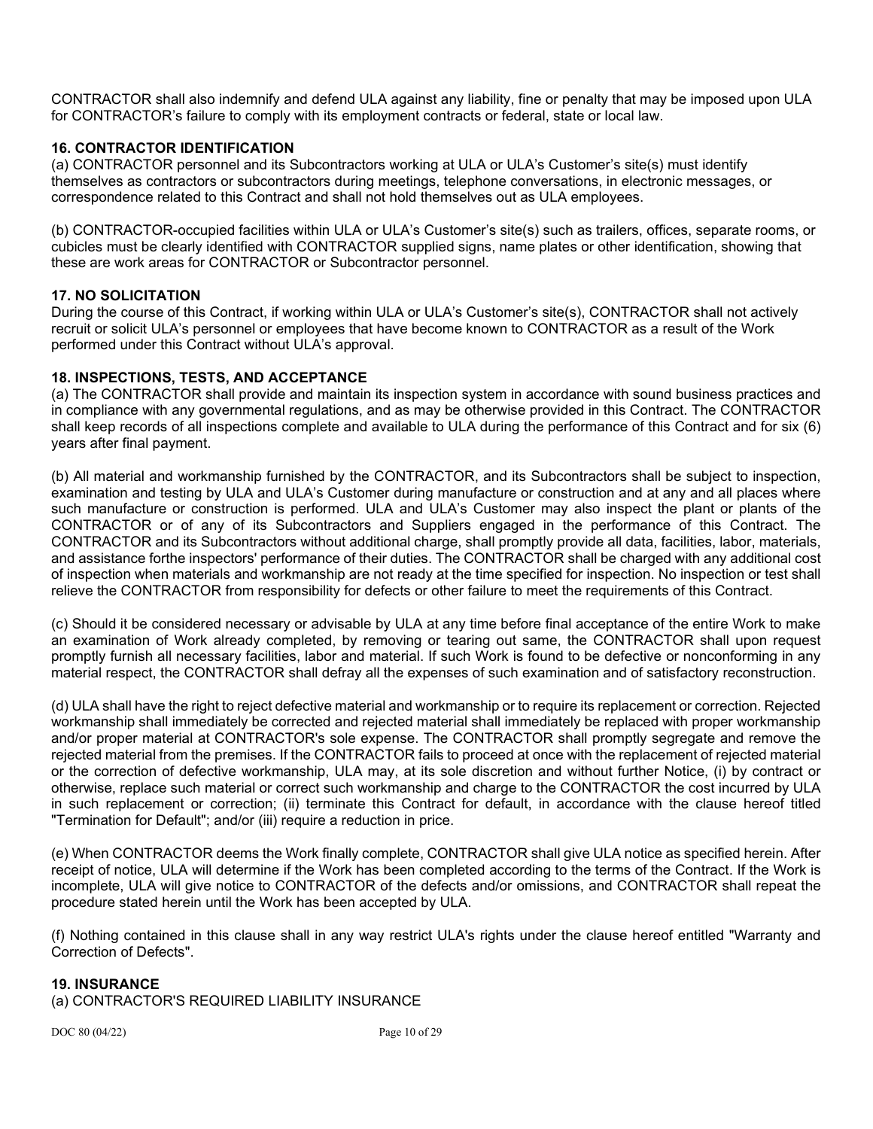CONTRACTOR shall also indemnify and defend ULA against any liability, fine or penalty that may be imposed upon ULA for CONTRACTOR's failure to comply with its employment contracts or federal, state or local law.

## **16. CONTRACTOR IDENTIFICATION**

(a) CONTRACTOR personnel and its Subcontractors working at ULA or ULA's Customer's site(s) must identify themselves as contractors or subcontractors during meetings, telephone conversations, in electronic messages, or correspondence related to this Contract and shall not hold themselves out as ULA employees.

(b) CONTRACTOR-occupied facilities within ULA or ULA's Customer's site(s) such as trailers, offices, separate rooms, or cubicles must be clearly identified with CONTRACTOR supplied signs, name plates or other identification, showing that these are work areas for CONTRACTOR or Subcontractor personnel.

### **17. NO SOLICITATION**

During the course of this Contract, if working within ULA or ULA's Customer's site(s), CONTRACTOR shall not actively recruit or solicit ULA's personnel or employees that have become known to CONTRACTOR as a result of the Work performed under this Contract without ULA's approval.

### **18. INSPECTIONS, TESTS, AND ACCEPTANCE**

(a) The CONTRACTOR shall provide and maintain its inspection system in accordance with sound business practices and in compliance with any governmental regulations, and as may be otherwise provided in this Contract. The CONTRACTOR shall keep records of all inspections complete and available to ULA during the performance of this Contract and for six (6) years after final payment.

(b) All material and workmanship furnished by the CONTRACTOR, and its Subcontractors shall be subject to inspection, examination and testing by ULA and ULA's Customer during manufacture or construction and at any and all places where such manufacture or construction is performed. ULA and ULA's Customer may also inspect the plant or plants of the CONTRACTOR or of any of its Subcontractors and Suppliers engaged in the performance of this Contract. The CONTRACTOR and its Subcontractors without additional charge, shall promptly provide all data, facilities, labor, materials, and assistance forthe inspectors' performance of their duties. The CONTRACTOR shall be charged with any additional cost of inspection when materials and workmanship are not ready at the time specified for inspection. No inspection or test shall relieve the CONTRACTOR from responsibility for defects or other failure to meet the requirements of this Contract.

(c) Should it be considered necessary or advisable by ULA at any time before final acceptance of the entire Work to make an examination of Work already completed, by removing or tearing out same, the CONTRACTOR shall upon request promptly furnish all necessary facilities, labor and material. If such Work is found to be defective or nonconforming in any material respect, the CONTRACTOR shall defray all the expenses of such examination and of satisfactory reconstruction.

(d) ULA shall have the right to reject defective material and workmanship or to require its replacement or correction. Rejected workmanship shall immediately be corrected and rejected material shall immediately be replaced with proper workmanship and/or proper material at CONTRACTOR's sole expense. The CONTRACTOR shall promptly segregate and remove the rejected material from the premises. If the CONTRACTOR fails to proceed at once with the replacement of rejected material or the correction of defective workmanship, ULA may, at its sole discretion and without further Notice, (i) by contract or otherwise, replace such material or correct such workmanship and charge to the CONTRACTOR the cost incurred by ULA in such replacement or correction; (ii) terminate this Contract for default, in accordance with the clause hereof titled "Termination for Default"; and/or (iii) require a reduction in price.

(e) When CONTRACTOR deems the Work finally complete, CONTRACTOR shall give ULA notice as specified herein. After receipt of notice, ULA will determine if the Work has been completed according to the terms of the Contract. If the Work is incomplete, ULA will give notice to CONTRACTOR of the defects and/or omissions, and CONTRACTOR shall repeat the procedure stated herein until the Work has been accepted by ULA.

(f) Nothing contained in this clause shall in any way restrict ULA's rights under the clause hereof entitled "Warranty and Correction of Defects".

#### **19. INSURANCE**

(a) CONTRACTOR'S REQUIRED LIABILITY INSURANCE

DOC 80 (04/22) Page 10 of 29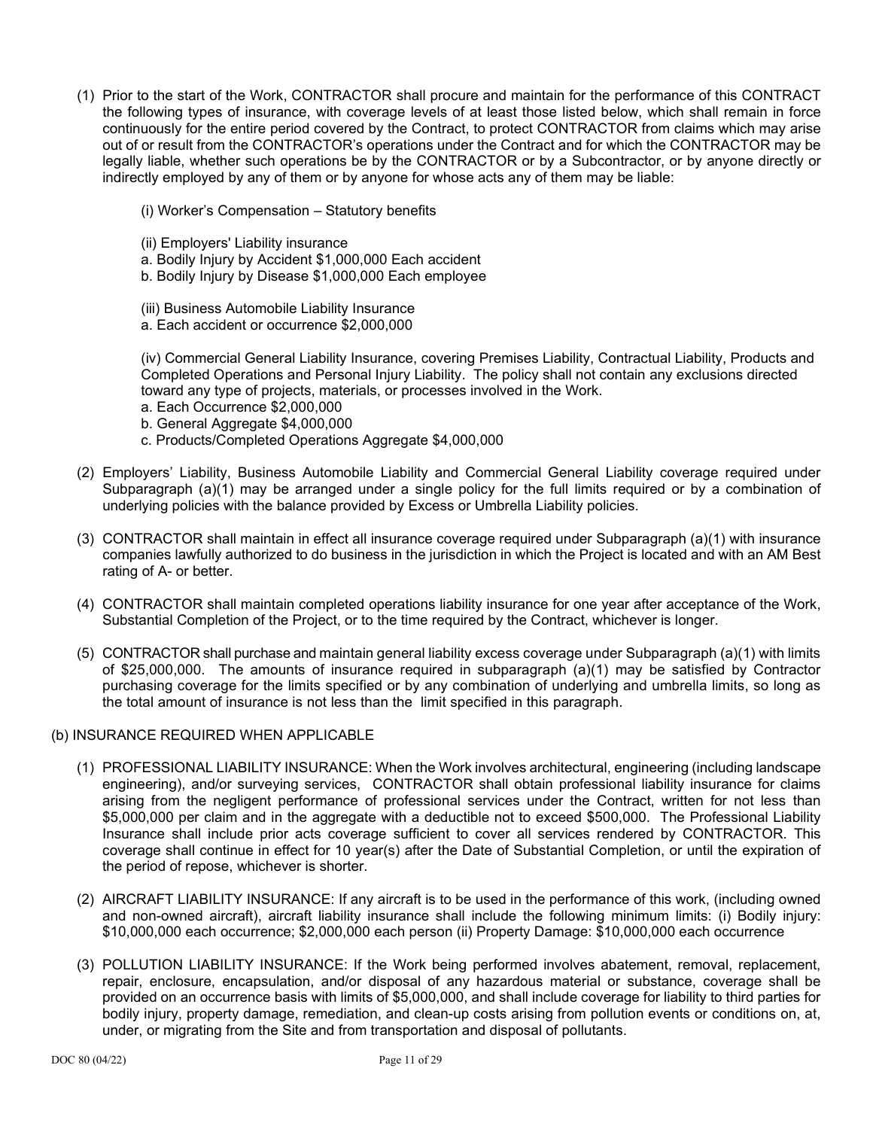- (1) Prior to the start of the Work, CONTRACTOR shall procure and maintain for the performance of this CONTRACT the following types of insurance, with coverage levels of at least those listed below, which shall remain in force continuously for the entire period covered by the Contract, to protect CONTRACTOR from claims which may arise out of or result from the CONTRACTOR's operations under the Contract and for which the CONTRACTOR may be legally liable, whether such operations be by the CONTRACTOR or by a Subcontractor, or by anyone directly or indirectly employed by any of them or by anyone for whose acts any of them may be liable:
	- (i) Worker's Compensation Statutory benefits
	- (ii) Employers' Liability insurance
	- a. Bodily Injury by Accident \$1,000,000 Each accident
	- b. Bodily Injury by Disease \$1,000,000 Each employee
	- (iii) Business Automobile Liability Insurance
	- a. Each accident or occurrence \$2,000,000

(iv) Commercial General Liability Insurance, covering Premises Liability, Contractual Liability, Products and Completed Operations and Personal Injury Liability. The policy shall not contain any exclusions directed toward any type of projects, materials, or processes involved in the Work.

- a. Each Occurrence \$2,000,000
- b. General Aggregate \$4,000,000
- c. Products/Completed Operations Aggregate \$4,000,000
- (2) Employers' Liability, Business Automobile Liability and Commercial General Liability coverage required under Subparagraph (a)(1) may be arranged under a single policy for the full limits required or by a combination of underlying policies with the balance provided by Excess or Umbrella Liability policies.
- (3) CONTRACTOR shall maintain in effect all insurance coverage required under Subparagraph (a)(1) with insurance companies lawfully authorized to do business in the jurisdiction in which the Project is located and with an AM Best rating of A- or better.
- (4) CONTRACTOR shall maintain completed operations liability insurance for one year after acceptance of the Work, Substantial Completion of the Project, or to the time required by the Contract, whichever is longer.
- (5) CONTRACTOR shall purchase and maintain general liability excess coverage under Subparagraph (a)(1) with limits of \$25,000,000. The amounts of insurance required in subparagraph (a)(1) may be satisfied by Contractor purchasing coverage for the limits specified or by any combination of underlying and umbrella limits, so long as the total amount of insurance is not less than the limit specified in this paragraph.
- (b) INSURANCE REQUIRED WHEN APPLICABLE
	- (1) PROFESSIONAL LIABILITY INSURANCE: When the Work involves architectural, engineering (including landscape engineering), and/or surveying services, CONTRACTOR shall obtain professional liability insurance for claims arising from the negligent performance of professional services under the Contract, written for not less than \$5,000,000 per claim and in the aggregate with a deductible not to exceed \$500,000. The Professional Liability Insurance shall include prior acts coverage sufficient to cover all services rendered by CONTRACTOR. This coverage shall continue in effect for 10 year(s) after the Date of Substantial Completion, or until the expiration of the period of repose, whichever is shorter.
	- (2) AIRCRAFT LIABILITY INSURANCE: If any aircraft is to be used in the performance of this work, (including owned and non-owned aircraft), aircraft liability insurance shall include the following minimum limits: (i) Bodily injury: \$10,000,000 each occurrence; \$2,000,000 each person (ii) Property Damage: \$10,000,000 each occurrence
	- (3) POLLUTION LIABILITY INSURANCE: If the Work being performed involves abatement, removal, replacement, repair, enclosure, encapsulation, and/or disposal of any hazardous material or substance, coverage shall be provided on an occurrence basis with limits of \$5,000,000, and shall include coverage for liability to third parties for bodily injury, property damage, remediation, and clean-up costs arising from pollution events or conditions on, at, under, or migrating from the Site and from transportation and disposal of pollutants.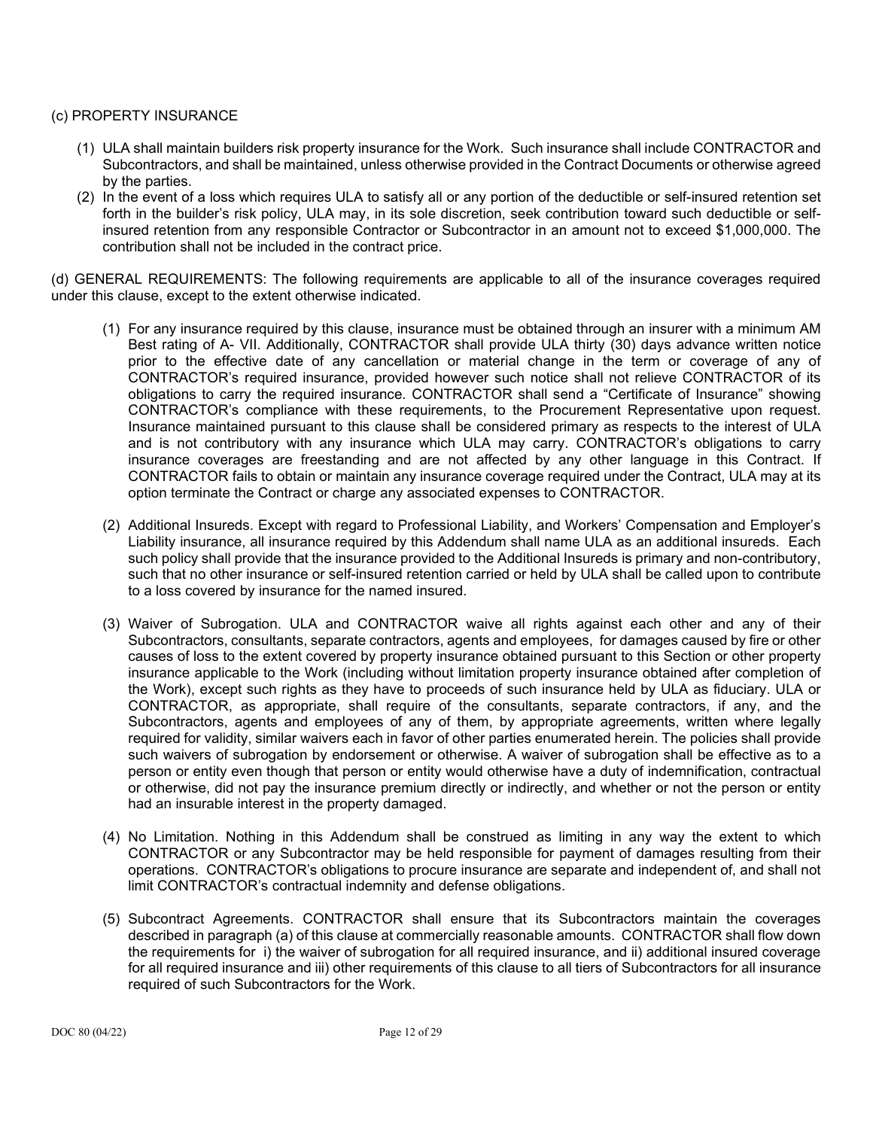#### (c) PROPERTY INSURANCE

- (1) ULA shall maintain builders risk property insurance for the Work. Such insurance shall include CONTRACTOR and Subcontractors, and shall be maintained, unless otherwise provided in the Contract Documents or otherwise agreed by the parties.
- (2) In the event of a loss which requires ULA to satisfy all or any portion of the deductible or self-insured retention set forth in the builder's risk policy, ULA may, in its sole discretion, seek contribution toward such deductible or selfinsured retention from any responsible Contractor or Subcontractor in an amount not to exceed \$1,000,000. The contribution shall not be included in the contract price.

(d) GENERAL REQUIREMENTS: The following requirements are applicable to all of the insurance coverages required under this clause, except to the extent otherwise indicated.

- (1) For any insurance required by this clause, insurance must be obtained through an insurer with a minimum AM Best rating of A- VII. Additionally, CONTRACTOR shall provide ULA thirty (30) days advance written notice prior to the effective date of any cancellation or material change in the term or coverage of any of CONTRACTOR's required insurance, provided however such notice shall not relieve CONTRACTOR of its obligations to carry the required insurance. CONTRACTOR shall send a "Certificate of Insurance" showing CONTRACTOR's compliance with these requirements, to the Procurement Representative upon request. Insurance maintained pursuant to this clause shall be considered primary as respects to the interest of ULA and is not contributory with any insurance which ULA may carry. CONTRACTOR's obligations to carry insurance coverages are freestanding and are not affected by any other language in this Contract. If CONTRACTOR fails to obtain or maintain any insurance coverage required under the Contract, ULA may at its option terminate the Contract or charge any associated expenses to CONTRACTOR.
- (2) Additional Insureds. Except with regard to Professional Liability, and Workers' Compensation and Employer's Liability insurance, all insurance required by this Addendum shall name ULA as an additional insureds. Each such policy shall provide that the insurance provided to the Additional Insureds is primary and non-contributory, such that no other insurance or self-insured retention carried or held by ULA shall be called upon to contribute to a loss covered by insurance for the named insured.
- (3) Waiver of Subrogation. ULA and CONTRACTOR waive all rights against each other and any of their Subcontractors, consultants, separate contractors, agents and employees, for damages caused by fire or other causes of loss to the extent covered by property insurance obtained pursuant to this Section or other property insurance applicable to the Work (including without limitation property insurance obtained after completion of the Work), except such rights as they have to proceeds of such insurance held by ULA as fiduciary. ULA or CONTRACTOR, as appropriate, shall require of the consultants, separate contractors, if any, and the Subcontractors, agents and employees of any of them, by appropriate agreements, written where legally required for validity, similar waivers each in favor of other parties enumerated herein. The policies shall provide such waivers of subrogation by endorsement or otherwise. A waiver of subrogation shall be effective as to a person or entity even though that person or entity would otherwise have a duty of indemnification, contractual or otherwise, did not pay the insurance premium directly or indirectly, and whether or not the person or entity had an insurable interest in the property damaged.
- (4) No Limitation. Nothing in this Addendum shall be construed as limiting in any way the extent to which CONTRACTOR or any Subcontractor may be held responsible for payment of damages resulting from their operations. CONTRACTOR's obligations to procure insurance are separate and independent of, and shall not limit CONTRACTOR's contractual indemnity and defense obligations.
- (5) Subcontract Agreements. CONTRACTOR shall ensure that its Subcontractors maintain the coverages described in paragraph (a) of this clause at commercially reasonable amounts. CONTRACTOR shall flow down the requirements for i) the waiver of subrogation for all required insurance, and ii) additional insured coverage for all required insurance and iii) other requirements of this clause to all tiers of Subcontractors for all insurance required of such Subcontractors for the Work.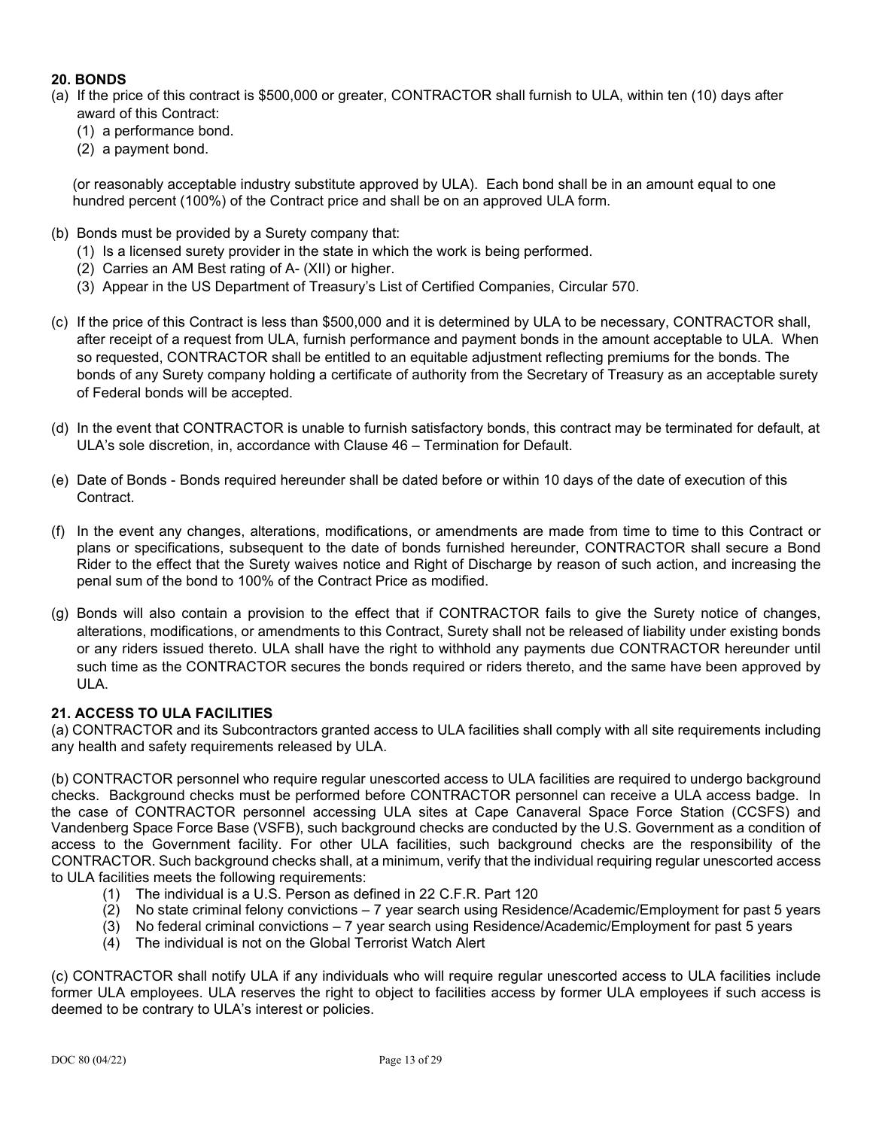# **20. BONDS**

- (a) If the price of this contract is \$500,000 or greater, CONTRACTOR shall furnish to ULA, within ten (10) days after award of this Contract:
	- (1) a performance bond.
	- (2) a payment bond.

(or reasonably acceptable industry substitute approved by ULA). Each bond shall be in an amount equal to one hundred percent (100%) of the Contract price and shall be on an approved ULA form.

- (b) Bonds must be provided by a Surety company that:
	- (1) Is a licensed surety provider in the state in which the work is being performed.
	- (2) Carries an AM Best rating of A- (XII) or higher.
	- (3) Appear in the US Department of Treasury's List of Certified Companies, Circular 570.
- (c) If the price of this Contract is less than \$500,000 and it is determined by ULA to be necessary, CONTRACTOR shall, after receipt of a request from ULA, furnish performance and payment bonds in the amount acceptable to ULA. When so requested, CONTRACTOR shall be entitled to an equitable adjustment reflecting premiums for the bonds. The bonds of any Surety company holding a certificate of authority from the Secretary of Treasury as an acceptable surety of Federal bonds will be accepted.
- (d) In the event that CONTRACTOR is unable to furnish satisfactory bonds, this contract may be terminated for default, at ULA's sole discretion, in, accordance with Clause 46 – Termination for Default.
- (e) Date of Bonds Bonds required hereunder shall be dated before or within 10 days of the date of execution of this Contract.
- (f) In the event any changes, alterations, modifications, or amendments are made from time to time to this Contract or plans or specifications, subsequent to the date of bonds furnished hereunder, CONTRACTOR shall secure a Bond Rider to the effect that the Surety waives notice and Right of Discharge by reason of such action, and increasing the penal sum of the bond to 100% of the Contract Price as modified.
- (g) Bonds will also contain a provision to the effect that if CONTRACTOR fails to give the Surety notice of changes, alterations, modifications, or amendments to this Contract, Surety shall not be released of liability under existing bonds or any riders issued thereto. ULA shall have the right to withhold any payments due CONTRACTOR hereunder until such time as the CONTRACTOR secures the bonds required or riders thereto, and the same have been approved by ULA.

### **21. ACCESS TO ULA FACILITIES**

(a) CONTRACTOR and its Subcontractors granted access to ULA facilities shall comply with all site requirements including any health and safety requirements released by ULA.

(b) CONTRACTOR personnel who require regular unescorted access to ULA facilities are required to undergo background checks. Background checks must be performed before CONTRACTOR personnel can receive a ULA access badge. In the case of CONTRACTOR personnel accessing ULA sites at Cape Canaveral Space Force Station (CCSFS) and Vandenberg Space Force Base (VSFB), such background checks are conducted by the U.S. Government as a condition of access to the Government facility. For other ULA facilities, such background checks are the responsibility of the CONTRACTOR. Such background checks shall, at a minimum, verify that the individual requiring regular unescorted access to ULA facilities meets the following requirements:

- (1) The individual is a U.S. Person as defined in 22 C.F.R. Part 120
- (2) No state criminal felony convictions 7 year search using Residence/Academic/Employment for past 5 years
- (3) No federal criminal convictions 7 year search using Residence/Academic/Employment for past 5 years
- (4) The individual is not on the Global Terrorist Watch Alert

(c) CONTRACTOR shall notify ULA if any individuals who will require regular unescorted access to ULA facilities include former ULA employees. ULA reserves the right to object to facilities access by former ULA employees if such access is deemed to be contrary to ULA's interest or policies.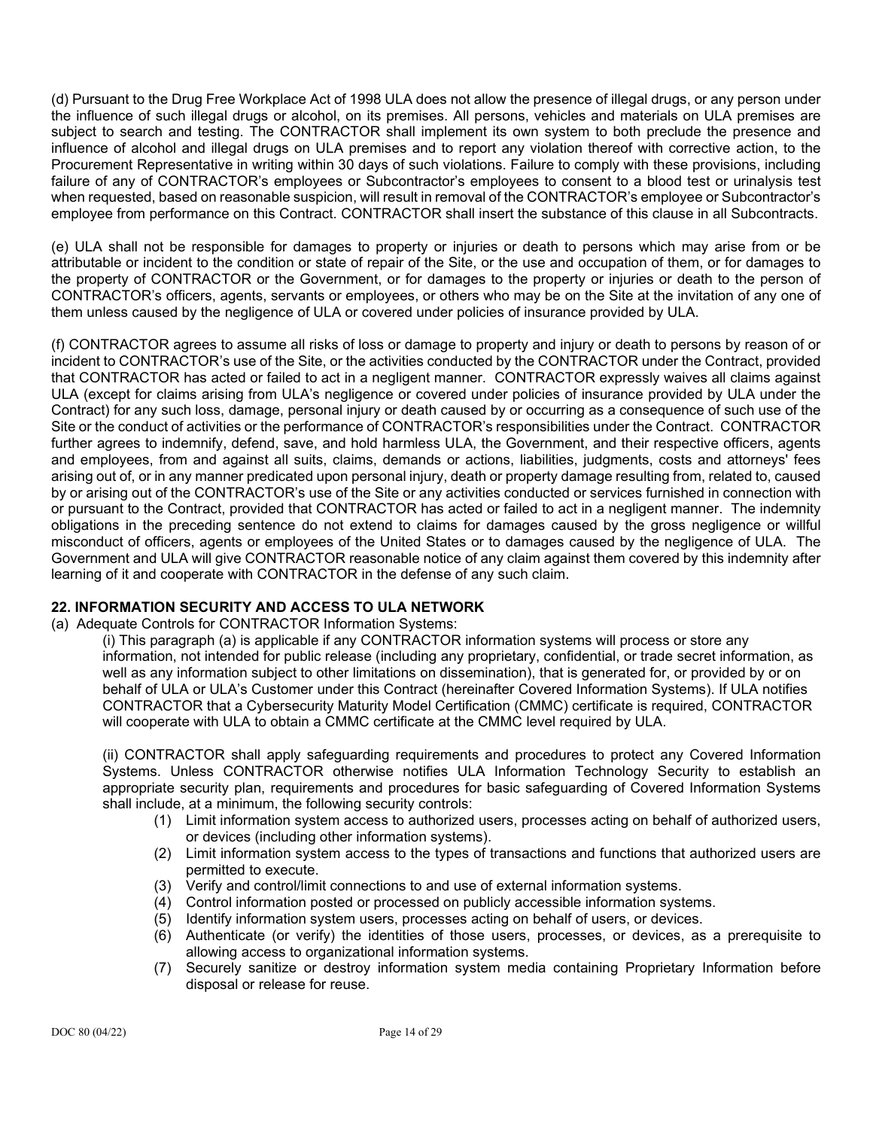(d) Pursuant to the Drug Free Workplace Act of 1998 ULA does not allow the presence of illegal drugs, or any person under the influence of such illegal drugs or alcohol, on its premises. All persons, vehicles and materials on ULA premises are subject to search and testing. The CONTRACTOR shall implement its own system to both preclude the presence and influence of alcohol and illegal drugs on ULA premises and to report any violation thereof with corrective action, to the Procurement Representative in writing within 30 days of such violations. Failure to comply with these provisions, including failure of any of CONTRACTOR's employees or Subcontractor's employees to consent to a blood test or urinalysis test when requested, based on reasonable suspicion, will result in removal of the CONTRACTOR's employee or Subcontractor's employee from performance on this Contract. CONTRACTOR shall insert the substance of this clause in all Subcontracts.

(e) ULA shall not be responsible for damages to property or injuries or death to persons which may arise from or be attributable or incident to the condition or state of repair of the Site, or the use and occupation of them, or for damages to the property of CONTRACTOR or the Government, or for damages to the property or injuries or death to the person of CONTRACTOR's officers, agents, servants or employees, or others who may be on the Site at the invitation of any one of them unless caused by the negligence of ULA or covered under policies of insurance provided by ULA.

(f) CONTRACTOR agrees to assume all risks of loss or damage to property and injury or death to persons by reason of or incident to CONTRACTOR's use of the Site, or the activities conducted by the CONTRACTOR under the Contract, provided that CONTRACTOR has acted or failed to act in a negligent manner. CONTRACTOR expressly waives all claims against ULA (except for claims arising from ULA's negligence or covered under policies of insurance provided by ULA under the Contract) for any such loss, damage, personal injury or death caused by or occurring as a consequence of such use of the Site or the conduct of activities or the performance of CONTRACTOR's responsibilities under the Contract. CONTRACTOR further agrees to indemnify, defend, save, and hold harmless ULA, the Government, and their respective officers, agents and employees, from and against all suits, claims, demands or actions, liabilities, judgments, costs and attorneys' fees arising out of, or in any manner predicated upon personal injury, death or property damage resulting from, related to, caused by or arising out of the CONTRACTOR's use of the Site or any activities conducted or services furnished in connection with or pursuant to the Contract, provided that CONTRACTOR has acted or failed to act in a negligent manner. The indemnity obligations in the preceding sentence do not extend to claims for damages caused by the gross negligence or willful misconduct of officers, agents or employees of the United States or to damages caused by the negligence of ULA. The Government and ULA will give CONTRACTOR reasonable notice of any claim against them covered by this indemnity after learning of it and cooperate with CONTRACTOR in the defense of any such claim.

## **22. INFORMATION SECURITY AND ACCESS TO ULA NETWORK**

(a) Adequate Controls for CONTRACTOR Information Systems:

(i) This paragraph (a) is applicable if any CONTRACTOR information systems will process or store any information, not intended for public release (including any proprietary, confidential, or trade secret information, as well as any information subject to other limitations on dissemination), that is generated for, or provided by or on behalf of ULA or ULA's Customer under this Contract (hereinafter Covered Information Systems). If ULA notifies CONTRACTOR that a Cybersecurity Maturity Model Certification (CMMC) certificate is required, CONTRACTOR will cooperate with ULA to obtain a CMMC certificate at the CMMC level required by ULA.

(ii) CONTRACTOR shall apply safeguarding requirements and procedures to protect any Covered Information Systems. Unless CONTRACTOR otherwise notifies ULA Information Technology Security to establish an appropriate security plan, requirements and procedures for basic safeguarding of Covered Information Systems shall include, at a minimum, the following security controls:

- (1) Limit information system access to authorized users, processes acting on behalf of authorized users, or devices (including other information systems).
- (2) Limit information system access to the types of transactions and functions that authorized users are permitted to execute.
- (3) Verify and control/limit connections to and use of external information systems.
- $(4)$  Control information posted or processed on publicly accessible information systems.
- (5) Identify information system users, processes acting on behalf of users, or devices.
- (6) Authenticate (or verify) the identities of those users, processes, or devices, as a prerequisite to allowing access to organizational information systems.
- (7) Securely sanitize or destroy information system media containing Proprietary Information before disposal or release for reuse.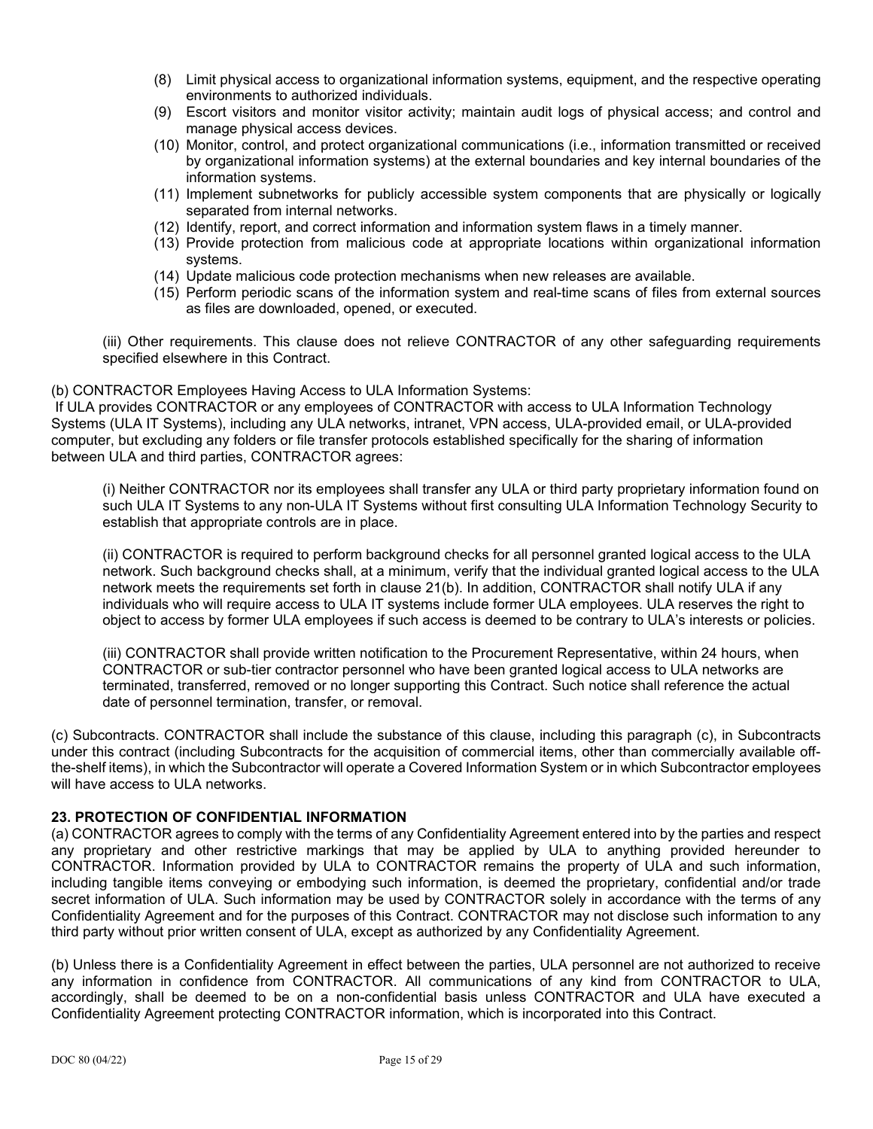- (8) Limit physical access to organizational information systems, equipment, and the respective operating environments to authorized individuals.
- (9) Escort visitors and monitor visitor activity; maintain audit logs of physical access; and control and manage physical access devices.
- (10) Monitor, control, and protect organizational communications (i.e., information transmitted or received by organizational information systems) at the external boundaries and key internal boundaries of the information systems.
- (11) Implement subnetworks for publicly accessible system components that are physically or logically separated from internal networks.
- (12) Identify, report, and correct information and information system flaws in a timely manner.
- (13) Provide protection from malicious code at appropriate locations within organizational information systems.
- (14) Update malicious code protection mechanisms when new releases are available.
- (15) Perform periodic scans of the information system and real-time scans of files from external sources as files are downloaded, opened, or executed.

(iii) Other requirements. This clause does not relieve CONTRACTOR of any other safeguarding requirements specified elsewhere in this Contract.

### (b) CONTRACTOR Employees Having Access to ULA Information Systems:

If ULA provides CONTRACTOR or any employees of CONTRACTOR with access to ULA Information Technology Systems (ULA IT Systems), including any ULA networks, intranet, VPN access, ULA-provided email, or ULA-provided computer, but excluding any folders or file transfer protocols established specifically for the sharing of information between ULA and third parties, CONTRACTOR agrees:

(i) Neither CONTRACTOR nor its employees shall transfer any ULA or third party proprietary information found on such ULA IT Systems to any non-ULA IT Systems without first consulting ULA Information Technology Security to establish that appropriate controls are in place.

(ii) CONTRACTOR is required to perform background checks for all personnel granted logical access to the ULA network. Such background checks shall, at a minimum, verify that the individual granted logical access to the ULA network meets the requirements set forth in clause 21(b). In addition, CONTRACTOR shall notify ULA if any individuals who will require access to ULA IT systems include former ULA employees. ULA reserves the right to object to access by former ULA employees if such access is deemed to be contrary to ULA's interests or policies.

(iii) CONTRACTOR shall provide written notification to the Procurement Representative, within 24 hours, when CONTRACTOR or sub-tier contractor personnel who have been granted logical access to ULA networks are terminated, transferred, removed or no longer supporting this Contract. Such notice shall reference the actual date of personnel termination, transfer, or removal.

(c) Subcontracts. CONTRACTOR shall include the substance of this clause, including this paragraph (c), in Subcontracts under this contract (including Subcontracts for the acquisition of commercial items, other than commercially available offthe-shelf items), in which the Subcontractor will operate a Covered Information System or in which Subcontractor employees will have access to ULA networks.

#### **23. PROTECTION OF CONFIDENTIAL INFORMATION**

(a) CONTRACTOR agrees to comply with the terms of any Confidentiality Agreement entered into by the parties and respect any proprietary and other restrictive markings that may be applied by ULA to anything provided hereunder to CONTRACTOR. Information provided by ULA to CONTRACTOR remains the property of ULA and such information, including tangible items conveying or embodying such information, is deemed the proprietary, confidential and/or trade secret information of ULA. Such information may be used by CONTRACTOR solely in accordance with the terms of any Confidentiality Agreement and for the purposes of this Contract. CONTRACTOR may not disclose such information to any third party without prior written consent of ULA, except as authorized by any Confidentiality Agreement.

(b) Unless there is a Confidentiality Agreement in effect between the parties, ULA personnel are not authorized to receive any information in confidence from CONTRACTOR. All communications of any kind from CONTRACTOR to ULA, accordingly, shall be deemed to be on a non-confidential basis unless CONTRACTOR and ULA have executed a Confidentiality Agreement protecting CONTRACTOR information, which is incorporated into this Contract.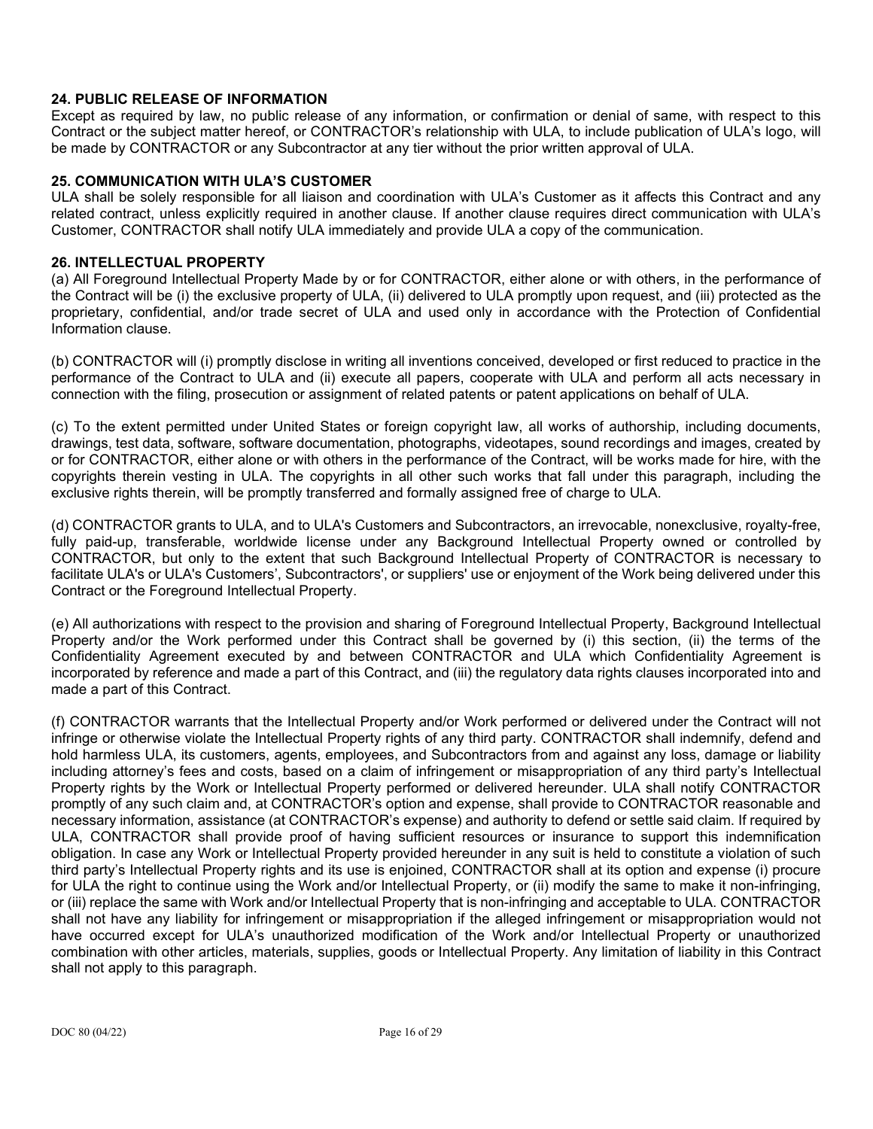## **24. PUBLIC RELEASE OF INFORMATION**

Except as required by law, no public release of any information, or confirmation or denial of same, with respect to this Contract or the subject matter hereof, or CONTRACTOR's relationship with ULA, to include publication of ULA's logo, will be made by CONTRACTOR or any Subcontractor at any tier without the prior written approval of ULA.

#### **25. COMMUNICATION WITH ULA'S CUSTOMER**

ULA shall be solely responsible for all liaison and coordination with ULA's Customer as it affects this Contract and any related contract, unless explicitly required in another clause. If another clause requires direct communication with ULA's Customer, CONTRACTOR shall notify ULA immediately and provide ULA a copy of the communication.

#### **26. INTELLECTUAL PROPERTY**

(a) All Foreground Intellectual Property Made by or for CONTRACTOR, either alone or with others, in the performance of the Contract will be (i) the exclusive property of ULA, (ii) delivered to ULA promptly upon request, and (iii) protected as the proprietary, confidential, and/or trade secret of ULA and used only in accordance with the Protection of Confidential Information clause.

(b) CONTRACTOR will (i) promptly disclose in writing all inventions conceived, developed or first reduced to practice in the performance of the Contract to ULA and (ii) execute all papers, cooperate with ULA and perform all acts necessary in connection with the filing, prosecution or assignment of related patents or patent applications on behalf of ULA.

(c) To the extent permitted under United States or foreign copyright law, all works of authorship, including documents, drawings, test data, software, software documentation, photographs, videotapes, sound recordings and images, created by or for CONTRACTOR, either alone or with others in the performance of the Contract, will be works made for hire, with the copyrights therein vesting in ULA. The copyrights in all other such works that fall under this paragraph, including the exclusive rights therein, will be promptly transferred and formally assigned free of charge to ULA.

(d) CONTRACTOR grants to ULA, and to ULA's Customers and Subcontractors, an irrevocable, nonexclusive, royalty-free, fully paid-up, transferable, worldwide license under any Background Intellectual Property owned or controlled by CONTRACTOR, but only to the extent that such Background Intellectual Property of CONTRACTOR is necessary to facilitate ULA's or ULA's Customers', Subcontractors', or suppliers' use or enjoyment of the Work being delivered under this Contract or the Foreground Intellectual Property.

(e) All authorizations with respect to the provision and sharing of Foreground Intellectual Property, Background Intellectual Property and/or the Work performed under this Contract shall be governed by (i) this section, (ii) the terms of the Confidentiality Agreement executed by and between CONTRACTOR and ULA which Confidentiality Agreement is incorporated by reference and made a part of this Contract, and (iii) the regulatory data rights clauses incorporated into and made a part of this Contract.

(f) CONTRACTOR warrants that the Intellectual Property and/or Work performed or delivered under the Contract will not infringe or otherwise violate the Intellectual Property rights of any third party. CONTRACTOR shall indemnify, defend and hold harmless ULA, its customers, agents, employees, and Subcontractors from and against any loss, damage or liability including attorney's fees and costs, based on a claim of infringement or misappropriation of any third party's Intellectual Property rights by the Work or Intellectual Property performed or delivered hereunder. ULA shall notify CONTRACTOR promptly of any such claim and, at CONTRACTOR's option and expense, shall provide to CONTRACTOR reasonable and necessary information, assistance (at CONTRACTOR's expense) and authority to defend or settle said claim. If required by ULA, CONTRACTOR shall provide proof of having sufficient resources or insurance to support this indemnification obligation. In case any Work or Intellectual Property provided hereunder in any suit is held to constitute a violation of such third party's Intellectual Property rights and its use is enjoined, CONTRACTOR shall at its option and expense (i) procure for ULA the right to continue using the Work and/or Intellectual Property, or (ii) modify the same to make it non-infringing, or (iii) replace the same with Work and/or Intellectual Property that is non-infringing and acceptable to ULA. CONTRACTOR shall not have any liability for infringement or misappropriation if the alleged infringement or misappropriation would not have occurred except for ULA's unauthorized modification of the Work and/or Intellectual Property or unauthorized combination with other articles, materials, supplies, goods or Intellectual Property. Any limitation of liability in this Contract shall not apply to this paragraph.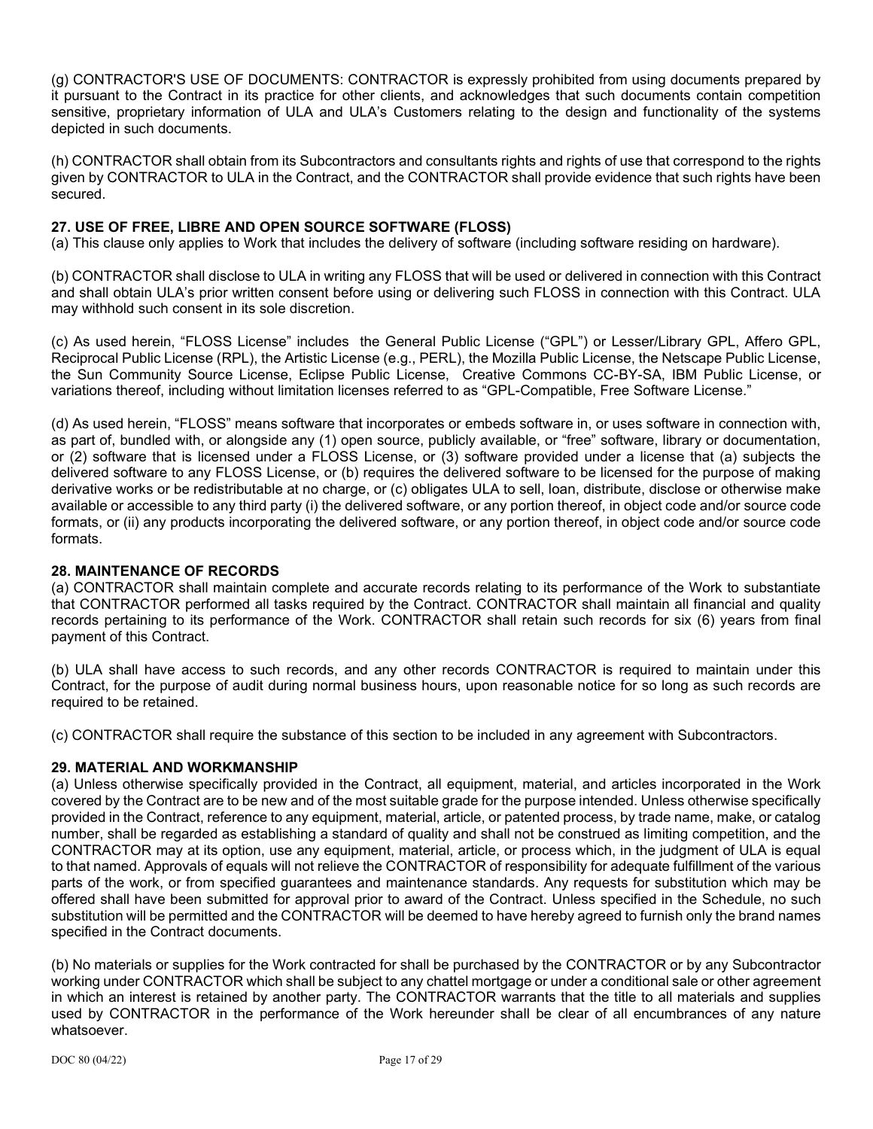(g) CONTRACTOR'S USE OF DOCUMENTS: CONTRACTOR is expressly prohibited from using documents prepared by it pursuant to the Contract in its practice for other clients, and acknowledges that such documents contain competition sensitive, proprietary information of ULA and ULA's Customers relating to the design and functionality of the systems depicted in such documents.

(h) CONTRACTOR shall obtain from its Subcontractors and consultants rights and rights of use that correspond to the rights given by CONTRACTOR to ULA in the Contract, and the CONTRACTOR shall provide evidence that such rights have been secured.

## **27. USE OF FREE, LIBRE AND OPEN SOURCE SOFTWARE (FLOSS)**

(a) This clause only applies to Work that includes the delivery of software (including software residing on hardware).

(b) CONTRACTOR shall disclose to ULA in writing any FLOSS that will be used or delivered in connection with this Contract and shall obtain ULA's prior written consent before using or delivering such FLOSS in connection with this Contract. ULA may withhold such consent in its sole discretion.

(c) As used herein, "FLOSS License" includes the General Public License ("GPL") or Lesser/Library GPL, Affero GPL, Reciprocal Public License (RPL), the Artistic License (e.g., PERL), the Mozilla Public License, the Netscape Public License, the Sun Community Source License, Eclipse Public License, Creative Commons CC-BY-SA, IBM Public License, or variations thereof, including without limitation licenses referred to as "GPL-Compatible, Free Software License."

(d) As used herein, "FLOSS" means software that incorporates or embeds software in, or uses software in connection with, as part of, bundled with, or alongside any (1) open source, publicly available, or "free" software, library or documentation, or (2) software that is licensed under a FLOSS License, or (3) software provided under a license that (a) subjects the delivered software to any FLOSS License, or (b) requires the delivered software to be licensed for the purpose of making derivative works or be redistributable at no charge, or (c) obligates ULA to sell, loan, distribute, disclose or otherwise make available or accessible to any third party (i) the delivered software, or any portion thereof, in object code and/or source code formats, or (ii) any products incorporating the delivered software, or any portion thereof, in object code and/or source code formats.

### **28. MAINTENANCE OF RECORDS**

(a) CONTRACTOR shall maintain complete and accurate records relating to its performance of the Work to substantiate that CONTRACTOR performed all tasks required by the Contract. CONTRACTOR shall maintain all financial and quality records pertaining to its performance of the Work. CONTRACTOR shall retain such records for six (6) years from final payment of this Contract.

(b) ULA shall have access to such records, and any other records CONTRACTOR is required to maintain under this Contract, for the purpose of audit during normal business hours, upon reasonable notice for so long as such records are required to be retained.

(c) CONTRACTOR shall require the substance of this section to be included in any agreement with Subcontractors.

## **29. MATERIAL AND WORKMANSHIP**

(a) Unless otherwise specifically provided in the Contract, all equipment, material, and articles incorporated in the Work covered by the Contract are to be new and of the most suitable grade for the purpose intended. Unless otherwise specifically provided in the Contract, reference to any equipment, material, article, or patented process, by trade name, make, or catalog number, shall be regarded as establishing a standard of quality and shall not be construed as limiting competition, and the CONTRACTOR may at its option, use any equipment, material, article, or process which, in the judgment of ULA is equal to that named. Approvals of equals will not relieve the CONTRACTOR of responsibility for adequate fulfillment of the various parts of the work, or from specified guarantees and maintenance standards. Any requests for substitution which may be offered shall have been submitted for approval prior to award of the Contract. Unless specified in the Schedule, no such substitution will be permitted and the CONTRACTOR will be deemed to have hereby agreed to furnish only the brand names specified in the Contract documents.

(b) No materials or supplies for the Work contracted for shall be purchased by the CONTRACTOR or by any Subcontractor working under CONTRACTOR which shall be subject to any chattel mortgage or under a conditional sale or other agreement in which an interest is retained by another party. The CONTRACTOR warrants that the title to all materials and supplies used by CONTRACTOR in the performance of the Work hereunder shall be clear of all encumbrances of any nature whatsoever.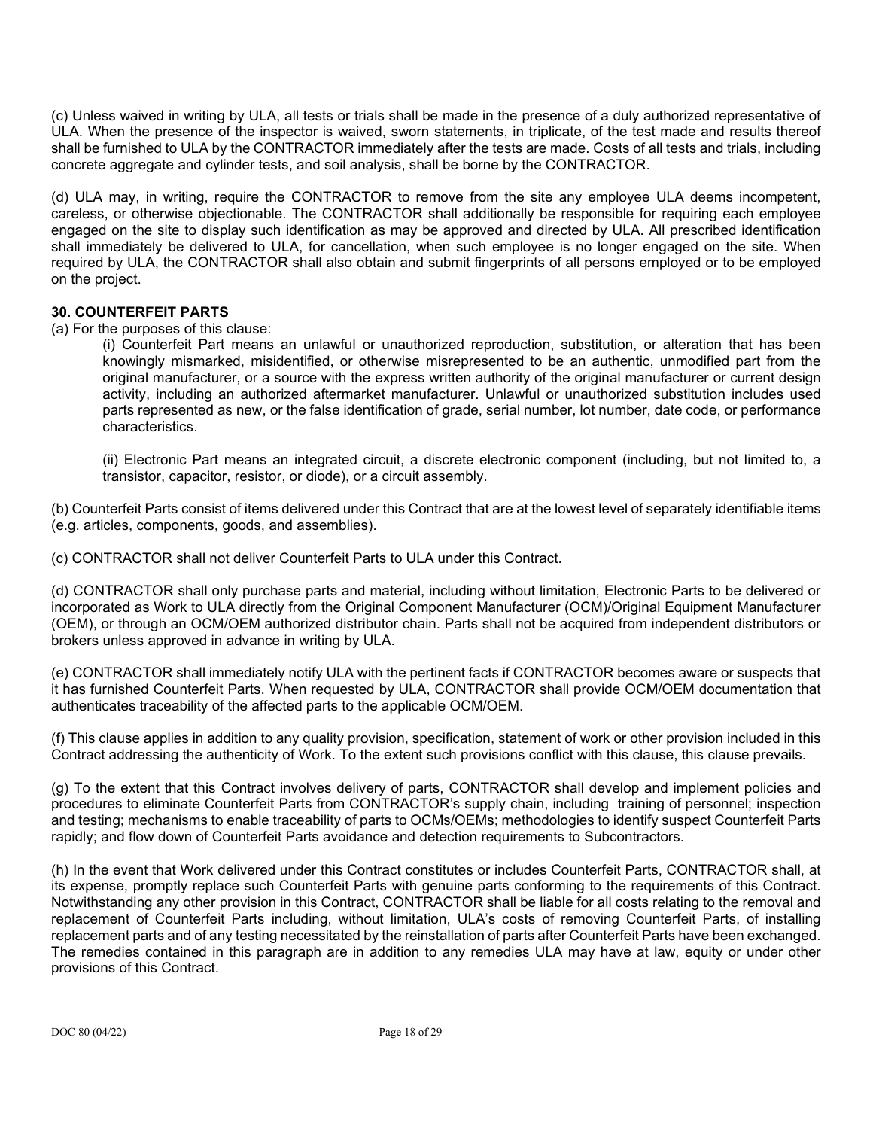(c) Unless waived in writing by ULA, all tests or trials shall be made in the presence of a duly authorized representative of ULA. When the presence of the inspector is waived, sworn statements, in triplicate, of the test made and results thereof shall be furnished to ULA by the CONTRACTOR immediately after the tests are made. Costs of all tests and trials, including concrete aggregate and cylinder tests, and soil analysis, shall be borne by the CONTRACTOR.

(d) ULA may, in writing, require the CONTRACTOR to remove from the site any employee ULA deems incompetent, careless, or otherwise objectionable. The CONTRACTOR shall additionally be responsible for requiring each employee engaged on the site to display such identification as may be approved and directed by ULA. All prescribed identification shall immediately be delivered to ULA, for cancellation, when such employee is no longer engaged on the site. When required by ULA, the CONTRACTOR shall also obtain and submit fingerprints of all persons employed or to be employed on the project.

### **30. COUNTERFEIT PARTS**

(a) For the purposes of this clause:

(i) Counterfeit Part means an unlawful or unauthorized reproduction, substitution, or alteration that has been knowingly mismarked, misidentified, or otherwise misrepresented to be an authentic, unmodified part from the original manufacturer, or a source with the express written authority of the original manufacturer or current design activity, including an authorized aftermarket manufacturer. Unlawful or unauthorized substitution includes used parts represented as new, or the false identification of grade, serial number, lot number, date code, or performance characteristics.

(ii) Electronic Part means an integrated circuit, a discrete electronic component (including, but not limited to, a transistor, capacitor, resistor, or diode), or a circuit assembly.

(b) Counterfeit Parts consist of items delivered under this Contract that are at the lowest level of separately identifiable items (e.g. articles, components, goods, and assemblies).

(c) CONTRACTOR shall not deliver Counterfeit Parts to ULA under this Contract.

(d) CONTRACTOR shall only purchase parts and material, including without limitation, Electronic Parts to be delivered or incorporated as Work to ULA directly from the Original Component Manufacturer (OCM)/Original Equipment Manufacturer (OEM), or through an OCM/OEM authorized distributor chain. Parts shall not be acquired from independent distributors or brokers unless approved in advance in writing by ULA.

(e) CONTRACTOR shall immediately notify ULA with the pertinent facts if CONTRACTOR becomes aware or suspects that it has furnished Counterfeit Parts. When requested by ULA, CONTRACTOR shall provide OCM/OEM documentation that authenticates traceability of the affected parts to the applicable OCM/OEM.

(f) This clause applies in addition to any quality provision, specification, statement of work or other provision included in this Contract addressing the authenticity of Work. To the extent such provisions conflict with this clause, this clause prevails.

(g) To the extent that this Contract involves delivery of parts, CONTRACTOR shall develop and implement policies and procedures to eliminate Counterfeit Parts from CONTRACTOR's supply chain, including training of personnel; inspection and testing; mechanisms to enable traceability of parts to OCMs/OEMs; methodologies to identify suspect Counterfeit Parts rapidly; and flow down of Counterfeit Parts avoidance and detection requirements to Subcontractors.

(h) In the event that Work delivered under this Contract constitutes or includes Counterfeit Parts, CONTRACTOR shall, at its expense, promptly replace such Counterfeit Parts with genuine parts conforming to the requirements of this Contract. Notwithstanding any other provision in this Contract, CONTRACTOR shall be liable for all costs relating to the removal and replacement of Counterfeit Parts including, without limitation, ULA's costs of removing Counterfeit Parts, of installing replacement parts and of any testing necessitated by the reinstallation of parts after Counterfeit Parts have been exchanged. The remedies contained in this paragraph are in addition to any remedies ULA may have at law, equity or under other provisions of this Contract.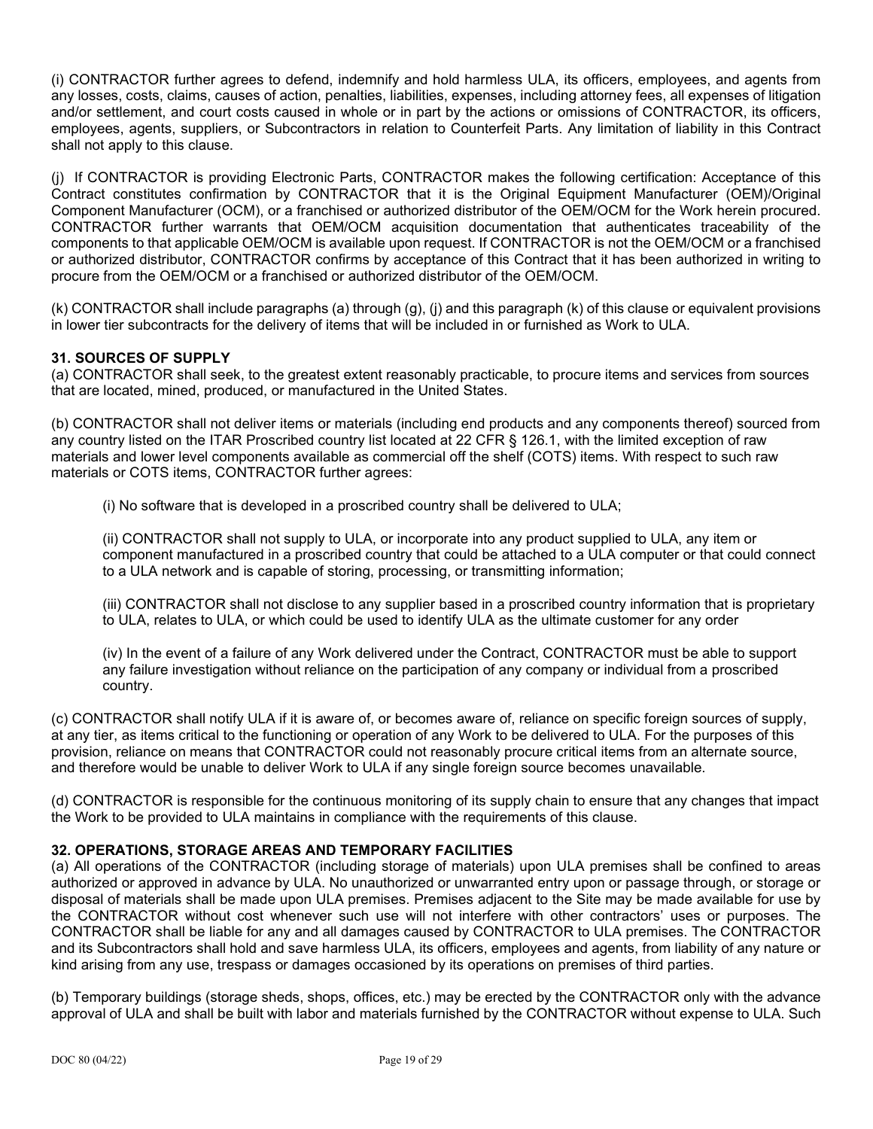(i) CONTRACTOR further agrees to defend, indemnify and hold harmless ULA, its officers, employees, and agents from any losses, costs, claims, causes of action, penalties, liabilities, expenses, including attorney fees, all expenses of litigation and/or settlement, and court costs caused in whole or in part by the actions or omissions of CONTRACTOR, its officers, employees, agents, suppliers, or Subcontractors in relation to Counterfeit Parts. Any limitation of liability in this Contract shall not apply to this clause.

(j) If CONTRACTOR is providing Electronic Parts, CONTRACTOR makes the following certification: Acceptance of this Contract constitutes confirmation by CONTRACTOR that it is the Original Equipment Manufacturer (OEM)/Original Component Manufacturer (OCM), or a franchised or authorized distributor of the OEM/OCM for the Work herein procured. CONTRACTOR further warrants that OEM/OCM acquisition documentation that authenticates traceability of the components to that applicable OEM/OCM is available upon request. If CONTRACTOR is not the OEM/OCM or a franchised or authorized distributor, CONTRACTOR confirms by acceptance of this Contract that it has been authorized in writing to procure from the OEM/OCM or a franchised or authorized distributor of the OEM/OCM.

(k) CONTRACTOR shall include paragraphs (a) through (g), (j) and this paragraph (k) of this clause or equivalent provisions in lower tier subcontracts for the delivery of items that will be included in or furnished as Work to ULA.

### **31. SOURCES OF SUPPLY**

(a) CONTRACTOR shall seek, to the greatest extent reasonably practicable, to procure items and services from sources that are located, mined, produced, or manufactured in the United States.

(b) CONTRACTOR shall not deliver items or materials (including end products and any components thereof) sourced from any country listed on the ITAR Proscribed country list located at 22 CFR § 126.1, with the limited exception of raw materials and lower level components available as commercial off the shelf (COTS) items. With respect to such raw materials or COTS items, CONTRACTOR further agrees:

(i) No software that is developed in a proscribed country shall be delivered to ULA;

(ii) CONTRACTOR shall not supply to ULA, or incorporate into any product supplied to ULA, any item or component manufactured in a proscribed country that could be attached to a ULA computer or that could connect to a ULA network and is capable of storing, processing, or transmitting information;

(iii) CONTRACTOR shall not disclose to any supplier based in a proscribed country information that is proprietary to ULA, relates to ULA, or which could be used to identify ULA as the ultimate customer for any order

(iv) In the event of a failure of any Work delivered under the Contract, CONTRACTOR must be able to support any failure investigation without reliance on the participation of any company or individual from a proscribed country.

(c) CONTRACTOR shall notify ULA if it is aware of, or becomes aware of, reliance on specific foreign sources of supply, at any tier, as items critical to the functioning or operation of any Work to be delivered to ULA. For the purposes of this provision, reliance on means that CONTRACTOR could not reasonably procure critical items from an alternate source, and therefore would be unable to deliver Work to ULA if any single foreign source becomes unavailable.

(d) CONTRACTOR is responsible for the continuous monitoring of its supply chain to ensure that any changes that impact the Work to be provided to ULA maintains in compliance with the requirements of this clause.

## **32. OPERATIONS, STORAGE AREAS AND TEMPORARY FACILITIES**

(a) All operations of the CONTRACTOR (including storage of materials) upon ULA premises shall be confined to areas authorized or approved in advance by ULA. No unauthorized or unwarranted entry upon or passage through, or storage or disposal of materials shall be made upon ULA premises. Premises adjacent to the Site may be made available for use by the CONTRACTOR without cost whenever such use will not interfere with other contractors' uses or purposes. The CONTRACTOR shall be liable for any and all damages caused by CONTRACTOR to ULA premises. The CONTRACTOR and its Subcontractors shall hold and save harmless ULA, its officers, employees and agents, from liability of any nature or kind arising from any use, trespass or damages occasioned by its operations on premises of third parties.

(b) Temporary buildings (storage sheds, shops, offices, etc.) may be erected by the CONTRACTOR only with the advance approval of ULA and shall be built with labor and materials furnished by the CONTRACTOR without expense to ULA. Such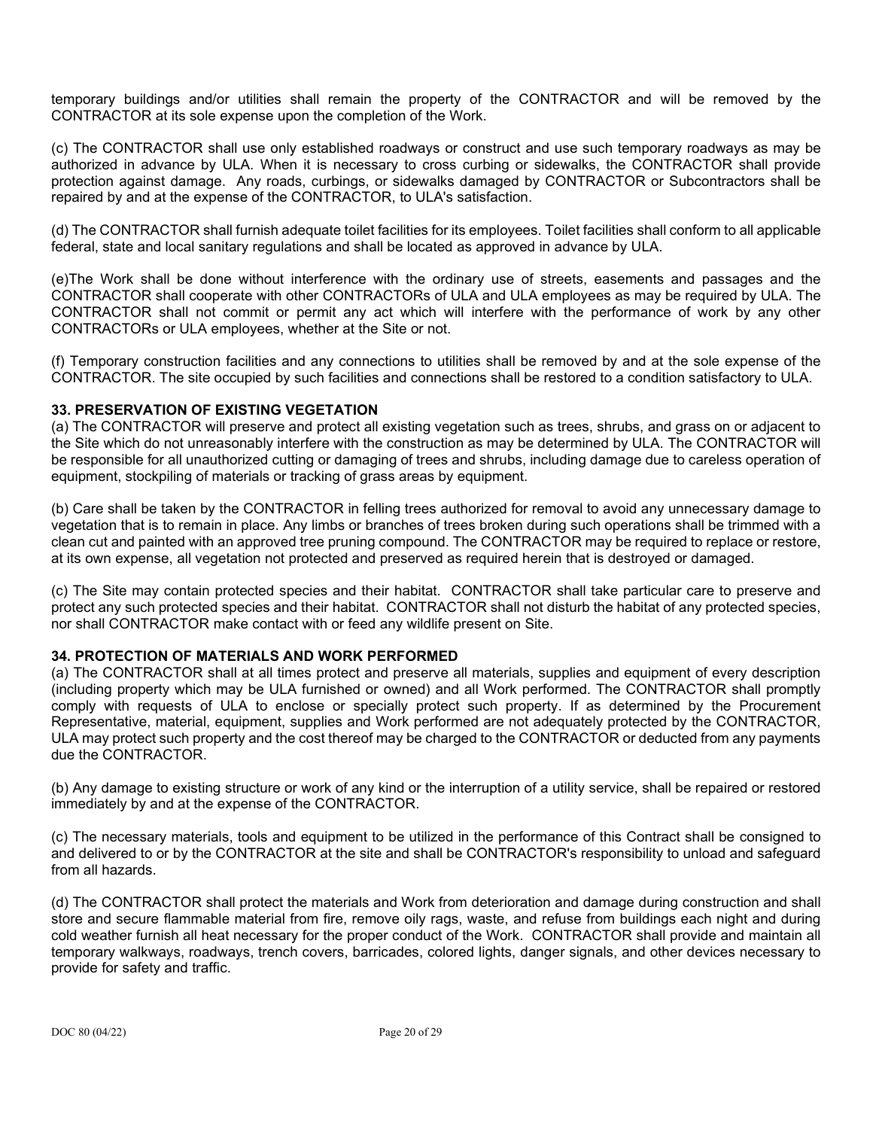temporary buildings and/or utilities shall remain the property of the CONTRACTOR and will be removed by the CONTRACTOR at its sole expense upon the completion of the Work.

(c) The CONTRACTOR shall use only established roadways or construct and use such temporary roadways as may be authorized in advance by ULA. When it is necessary to cross curbing or sidewalks, the CONTRACTOR shall provide protection against damage. Any roads, curbings, or sidewalks damaged by CONTRACTOR or Subcontractors shall be repaired by and at the expense of the CONTRACTOR, to ULA's satisfaction.

(d) The CONTRACTOR shall furnish adequate toilet facilities for its employees. Toilet facilities shall conform to all applicable federal, state and local sanitary regulations and shall be located as approved in advance by ULA.

(e)The Work shall be done without interference with the ordinary use of streets, easements and passages and the CONTRACTOR shall cooperate with other CONTRACTORs of ULA and ULA employees as may be required by ULA. The CONTRACTOR shall not commit or permit any act which will interfere with the performance of work by any other CONTRACTORs or ULA employees, whether at the Site or not.

(f) Temporary construction facilities and any connections to utilities shall be removed by and at the sole expense of the CONTRACTOR. The site occupied by such facilities and connections shall be restored to a condition satisfactory to ULA.

### **33. PRESERVATION OF EXISTING VEGETATION**

(a) The CONTRACTOR will preserve and protect all existing vegetation such as trees, shrubs, and grass on or adjacent to the Site which do not unreasonably interfere with the construction as may be determined by ULA. The CONTRACTOR will be responsible for all unauthorized cutting or damaging of trees and shrubs, including damage due to careless operation of equipment, stockpiling of materials or tracking of grass areas by equipment.

(b) Care shall be taken by the CONTRACTOR in felling trees authorized for removal to avoid any unnecessary damage to vegetation that is to remain in place. Any limbs or branches of trees broken during such operations shall be trimmed with a clean cut and painted with an approved tree pruning compound. The CONTRACTOR may be required to replace or restore, at its own expense, all vegetation not protected and preserved as required herein that is destroyed or damaged.

(c) The Site may contain protected species and their habitat. CONTRACTOR shall take particular care to preserve and protect any such protected species and their habitat. CONTRACTOR shall not disturb the habitat of any protected species, nor shall CONTRACTOR make contact with or feed any wildlife present on Site.

#### **34. PROTECTION OF MATERIALS AND WORK PERFORMED**

(a) The CONTRACTOR shall at all times protect and preserve all materials, supplies and equipment of every description (including property which may be ULA furnished or owned) and all Work performed. The CONTRACTOR shall promptly comply with requests of ULA to enclose or specially protect such property. If as determined by the Procurement Representative, material, equipment, supplies and Work performed are not adequately protected by the CONTRACTOR, ULA may protect such property and the cost thereof may be charged to the CONTRACTOR or deducted from any payments due the CONTRACTOR.

(b) Any damage to existing structure or work of any kind or the interruption of a utility service, shall be repaired or restored immediately by and at the expense of the CONTRACTOR.

(c) The necessary materials, tools and equipment to be utilized in the performance of this Contract shall be consigned to and delivered to or by the CONTRACTOR at the site and shall be CONTRACTOR's responsibility to unload and safeguard from all hazards.

(d) The CONTRACTOR shall protect the materials and Work from deterioration and damage during construction and shall store and secure flammable material from fire, remove oily rags, waste, and refuse from buildings each night and during cold weather furnish all heat necessary for the proper conduct of the Work. CONTRACTOR shall provide and maintain all temporary walkways, roadways, trench covers, barricades, colored lights, danger signals, and other devices necessary to provide for safety and traffic.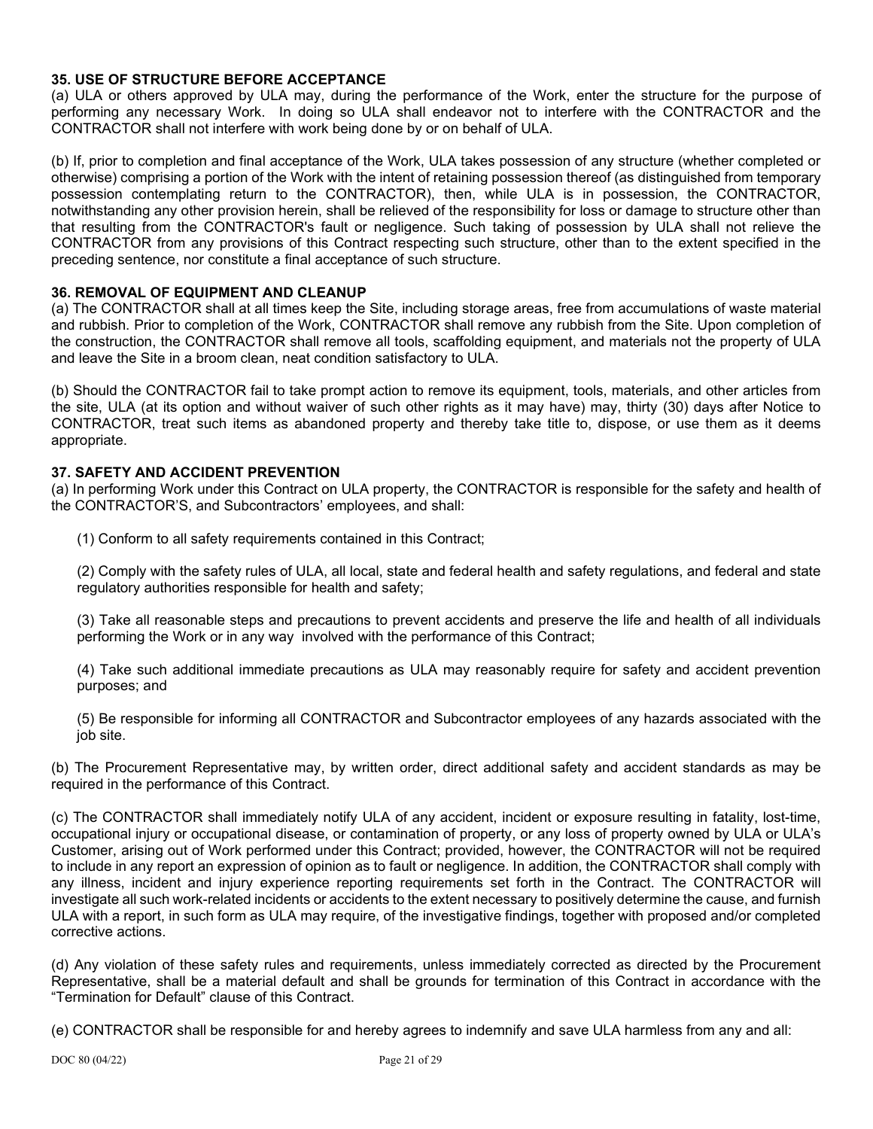### **35. USE OF STRUCTURE BEFORE ACCEPTANCE**

(a) ULA or others approved by ULA may, during the performance of the Work, enter the structure for the purpose of performing any necessary Work. In doing so ULA shall endeavor not to interfere with the CONTRACTOR and the CONTRACTOR shall not interfere with work being done by or on behalf of ULA.

(b) If, prior to completion and final acceptance of the Work, ULA takes possession of any structure (whether completed or otherwise) comprising a portion of the Work with the intent of retaining possession thereof (as distinguished from temporary possession contemplating return to the CONTRACTOR), then, while ULA is in possession, the CONTRACTOR, notwithstanding any other provision herein, shall be relieved of the responsibility for loss or damage to structure other than that resulting from the CONTRACTOR's fault or negligence. Such taking of possession by ULA shall not relieve the CONTRACTOR from any provisions of this Contract respecting such structure, other than to the extent specified in the preceding sentence, nor constitute a final acceptance of such structure.

#### **36. REMOVAL OF EQUIPMENT AND CLEANUP**

(a) The CONTRACTOR shall at all times keep the Site, including storage areas, free from accumulations of waste material and rubbish. Prior to completion of the Work, CONTRACTOR shall remove any rubbish from the Site. Upon completion of the construction, the CONTRACTOR shall remove all tools, scaffolding equipment, and materials not the property of ULA and leave the Site in a broom clean, neat condition satisfactory to ULA.

(b) Should the CONTRACTOR fail to take prompt action to remove its equipment, tools, materials, and other articles from the site, ULA (at its option and without waiver of such other rights as it may have) may, thirty (30) days after Notice to CONTRACTOR, treat such items as abandoned property and thereby take title to, dispose, or use them as it deems appropriate.

#### **37. SAFETY AND ACCIDENT PREVENTION**

(a) In performing Work under this Contract on ULA property, the CONTRACTOR is responsible for the safety and health of the CONTRACTOR'S, and Subcontractors' employees, and shall:

(1) Conform to all safety requirements contained in this Contract;

(2) Comply with the safety rules of ULA, all local, state and federal health and safety regulations, and federal and state regulatory authorities responsible for health and safety;

(3) Take all reasonable steps and precautions to prevent accidents and preserve the life and health of all individuals performing the Work or in any way involved with the performance of this Contract;

(4) Take such additional immediate precautions as ULA may reasonably require for safety and accident prevention purposes; and

(5) Be responsible for informing all CONTRACTOR and Subcontractor employees of any hazards associated with the job site.

(b) The Procurement Representative may, by written order, direct additional safety and accident standards as may be required in the performance of this Contract.

(c) The CONTRACTOR shall immediately notify ULA of any accident, incident or exposure resulting in fatality, lost-time, occupational injury or occupational disease, or contamination of property, or any loss of property owned by ULA or ULA's Customer, arising out of Work performed under this Contract; provided, however, the CONTRACTOR will not be required to include in any report an expression of opinion as to fault or negligence. In addition, the CONTRACTOR shall comply with any illness, incident and injury experience reporting requirements set forth in the Contract. The CONTRACTOR will investigate all such work-related incidents or accidents to the extent necessary to positively determine the cause, and furnish ULA with a report, in such form as ULA may require, of the investigative findings, together with proposed and/or completed corrective actions.

(d) Any violation of these safety rules and requirements, unless immediately corrected as directed by the Procurement Representative, shall be a material default and shall be grounds for termination of this Contract in accordance with the "Termination for Default" clause of this Contract.

(e) CONTRACTOR shall be responsible for and hereby agrees to indemnify and save ULA harmless from any and all: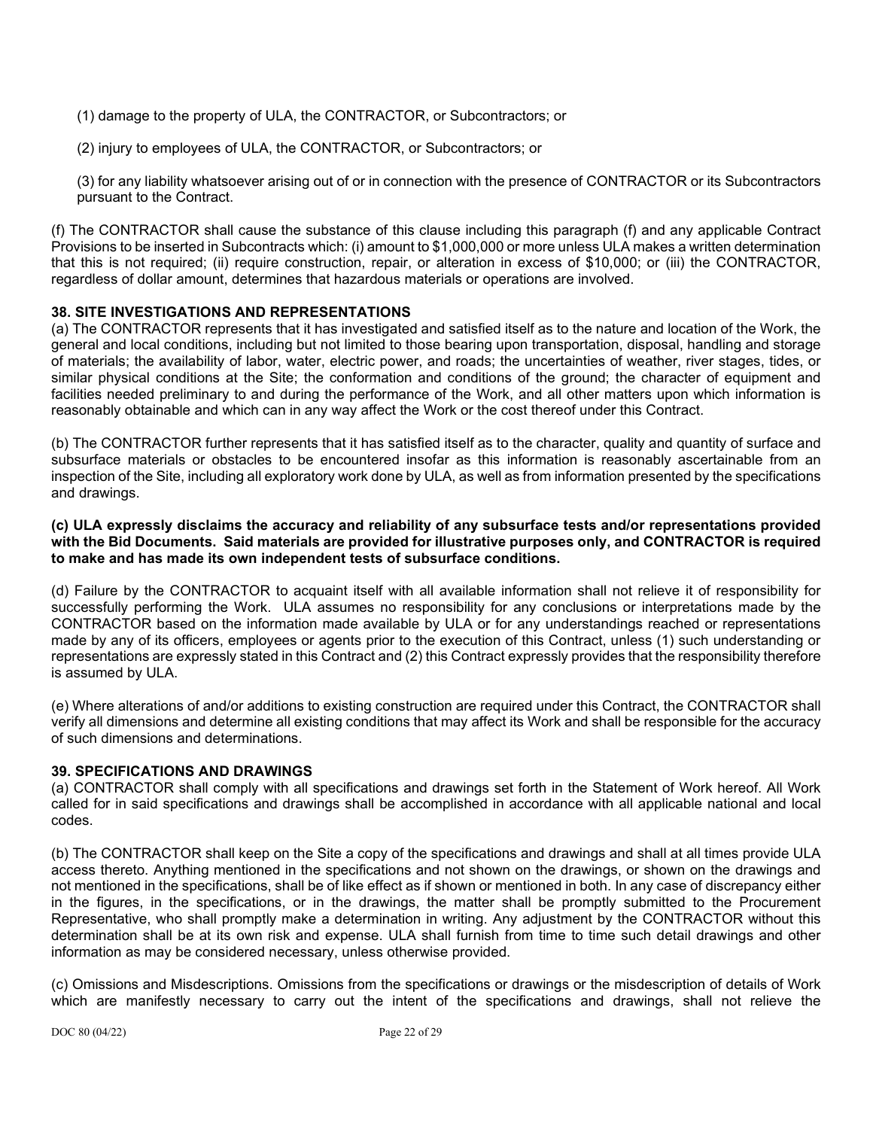(1) damage to the property of ULA, the CONTRACTOR, or Subcontractors; or

(2) injury to employees of ULA, the CONTRACTOR, or Subcontractors; or

(3) for any liability whatsoever arising out of or in connection with the presence of CONTRACTOR or its Subcontractors pursuant to the Contract.

(f) The CONTRACTOR shall cause the substance of this clause including this paragraph (f) and any applicable Contract Provisions to be inserted in Subcontracts which: (i) amount to \$1,000,000 or more unless ULA makes a written determination that this is not required; (ii) require construction, repair, or alteration in excess of \$10,000; or (iii) the CONTRACTOR, regardless of dollar amount, determines that hazardous materials or operations are involved.

#### **38. SITE INVESTIGATIONS AND REPRESENTATIONS**

(a) The CONTRACTOR represents that it has investigated and satisfied itself as to the nature and location of the Work, the general and local conditions, including but not limited to those bearing upon transportation, disposal, handling and storage of materials; the availability of labor, water, electric power, and roads; the uncertainties of weather, river stages, tides, or similar physical conditions at the Site; the conformation and conditions of the ground; the character of equipment and facilities needed preliminary to and during the performance of the Work, and all other matters upon which information is reasonably obtainable and which can in any way affect the Work or the cost thereof under this Contract.

(b) The CONTRACTOR further represents that it has satisfied itself as to the character, quality and quantity of surface and subsurface materials or obstacles to be encountered insofar as this information is reasonably ascertainable from an inspection of the Site, including all exploratory work done by ULA, as well as from information presented by the specifications and drawings.

#### **(c) ULA expressly disclaims the accuracy and reliability of any subsurface tests and/or representations provided with the Bid Documents. Said materials are provided for illustrative purposes only, and CONTRACTOR is required to make and has made its own independent tests of subsurface conditions.**

(d) Failure by the CONTRACTOR to acquaint itself with all available information shall not relieve it of responsibility for successfully performing the Work. ULA assumes no responsibility for any conclusions or interpretations made by the CONTRACTOR based on the information made available by ULA or for any understandings reached or representations made by any of its officers, employees or agents prior to the execution of this Contract, unless (1) such understanding or representations are expressly stated in this Contract and (2) this Contract expressly provides that the responsibility therefore is assumed by ULA.

(e) Where alterations of and/or additions to existing construction are required under this Contract, the CONTRACTOR shall verify all dimensions and determine all existing conditions that may affect its Work and shall be responsible for the accuracy of such dimensions and determinations.

#### **39. SPECIFICATIONS AND DRAWINGS**

(a) CONTRACTOR shall comply with all specifications and drawings set forth in the Statement of Work hereof. All Work called for in said specifications and drawings shall be accomplished in accordance with all applicable national and local codes.

(b) The CONTRACTOR shall keep on the Site a copy of the specifications and drawings and shall at all times provide ULA access thereto. Anything mentioned in the specifications and not shown on the drawings, or shown on the drawings and not mentioned in the specifications, shall be of like effect as if shown or mentioned in both. In any case of discrepancy either in the figures, in the specifications, or in the drawings, the matter shall be promptly submitted to the Procurement Representative, who shall promptly make a determination in writing. Any adjustment by the CONTRACTOR without this determination shall be at its own risk and expense. ULA shall furnish from time to time such detail drawings and other information as may be considered necessary, unless otherwise provided.

(c) Omissions and Misdescriptions. Omissions from the specifications or drawings or the misdescription of details of Work which are manifestly necessary to carry out the intent of the specifications and drawings, shall not relieve the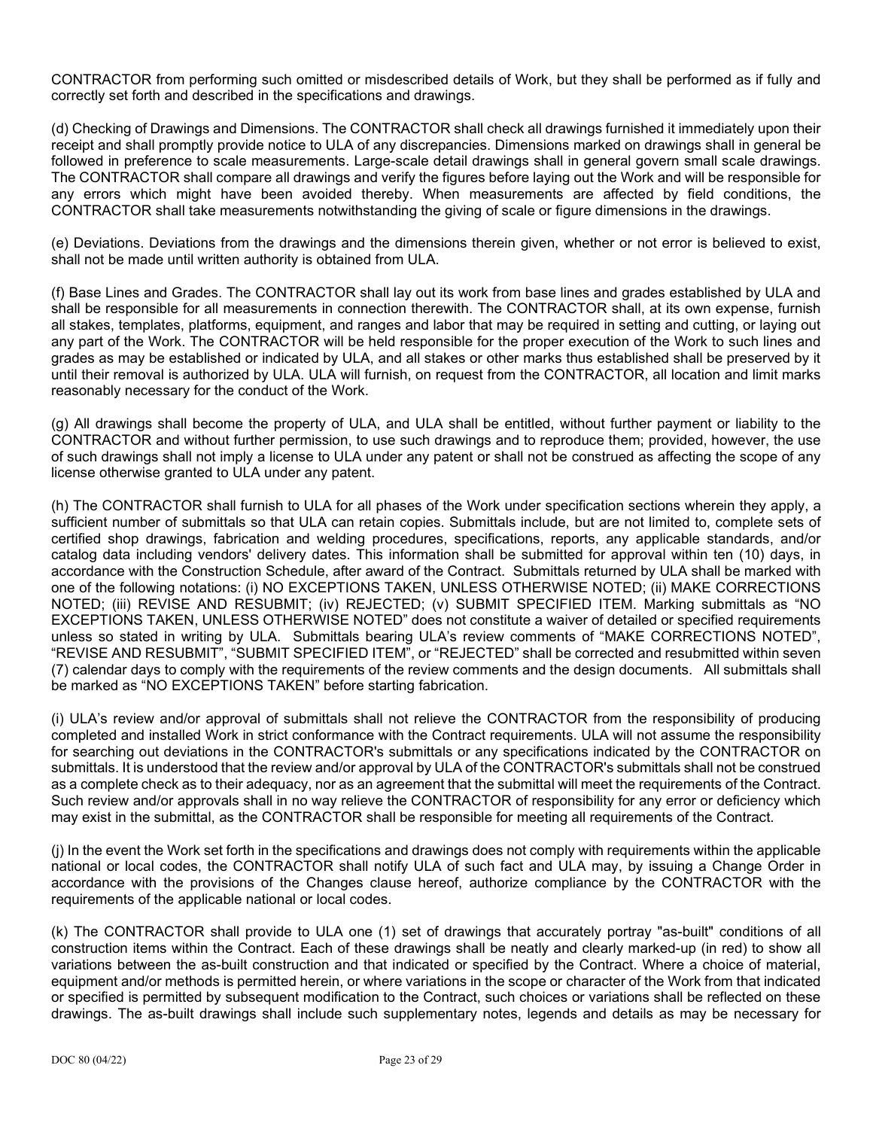CONTRACTOR from performing such omitted or misdescribed details of Work, but they shall be performed as if fully and correctly set forth and described in the specifications and drawings.

(d) Checking of Drawings and Dimensions. The CONTRACTOR shall check all drawings furnished it immediately upon their receipt and shall promptly provide notice to ULA of any discrepancies. Dimensions marked on drawings shall in general be followed in preference to scale measurements. Large-scale detail drawings shall in general govern small scale drawings. The CONTRACTOR shall compare all drawings and verify the figures before laying out the Work and will be responsible for any errors which might have been avoided thereby. When measurements are affected by field conditions, the CONTRACTOR shall take measurements notwithstanding the giving of scale or figure dimensions in the drawings.

(e) Deviations. Deviations from the drawings and the dimensions therein given, whether or not error is believed to exist, shall not be made until written authority is obtained from ULA.

(f) Base Lines and Grades. The CONTRACTOR shall lay out its work from base lines and grades established by ULA and shall be responsible for all measurements in connection therewith. The CONTRACTOR shall, at its own expense, furnish all stakes, templates, platforms, equipment, and ranges and labor that may be required in setting and cutting, or laying out any part of the Work. The CONTRACTOR will be held responsible for the proper execution of the Work to such lines and grades as may be established or indicated by ULA, and all stakes or other marks thus established shall be preserved by it until their removal is authorized by ULA. ULA will furnish, on request from the CONTRACTOR, all location and limit marks reasonably necessary for the conduct of the Work.

(g) All drawings shall become the property of ULA, and ULA shall be entitled, without further payment or liability to the CONTRACTOR and without further permission, to use such drawings and to reproduce them; provided, however, the use of such drawings shall not imply a license to ULA under any patent or shall not be construed as affecting the scope of any license otherwise granted to ULA under any patent.

(h) The CONTRACTOR shall furnish to ULA for all phases of the Work under specification sections wherein they apply, a sufficient number of submittals so that ULA can retain copies. Submittals include, but are not limited to, complete sets of certified shop drawings, fabrication and welding procedures, specifications, reports, any applicable standards, and/or catalog data including vendors' delivery dates. This information shall be submitted for approval within ten (10) days, in accordance with the Construction Schedule, after award of the Contract. Submittals returned by ULA shall be marked with one of the following notations: (i) NO EXCEPTIONS TAKEN, UNLESS OTHERWISE NOTED; (ii) MAKE CORRECTIONS NOTED; (iii) REVISE AND RESUBMIT; (iv) REJECTED; (v) SUBMIT SPECIFIED ITEM. Marking submittals as "NO EXCEPTIONS TAKEN, UNLESS OTHERWISE NOTED" does not constitute a waiver of detailed or specified requirements unless so stated in writing by ULA. Submittals bearing ULA's review comments of "MAKE CORRECTIONS NOTED", "REVISE AND RESUBMIT", "SUBMIT SPECIFIED ITEM", or "REJECTED" shall be corrected and resubmitted within seven (7) calendar days to comply with the requirements of the review comments and the design documents. All submittals shall be marked as "NO EXCEPTIONS TAKEN" before starting fabrication.

(i) ULA's review and/or approval of submittals shall not relieve the CONTRACTOR from the responsibility of producing completed and installed Work in strict conformance with the Contract requirements. ULA will not assume the responsibility for searching out deviations in the CONTRACTOR's submittals or any specifications indicated by the CONTRACTOR on submittals. It is understood that the review and/or approval by ULA of the CONTRACTOR's submittals shall not be construed as a complete check as to their adequacy, nor as an agreement that the submittal will meet the requirements of the Contract. Such review and/or approvals shall in no way relieve the CONTRACTOR of responsibility for any error or deficiency which may exist in the submittal, as the CONTRACTOR shall be responsible for meeting all requirements of the Contract.

(j) In the event the Work set forth in the specifications and drawings does not comply with requirements within the applicable national or local codes, the CONTRACTOR shall notify ULA of such fact and ULA may, by issuing a Change Order in accordance with the provisions of the Changes clause hereof, authorize compliance by the CONTRACTOR with the requirements of the applicable national or local codes.

(k) The CONTRACTOR shall provide to ULA one (1) set of drawings that accurately portray "as-built" conditions of all construction items within the Contract. Each of these drawings shall be neatly and clearly marked-up (in red) to show all variations between the as-built construction and that indicated or specified by the Contract. Where a choice of material, equipment and/or methods is permitted herein, or where variations in the scope or character of the Work from that indicated or specified is permitted by subsequent modification to the Contract, such choices or variations shall be reflected on these drawings. The as-built drawings shall include such supplementary notes, legends and details as may be necessary for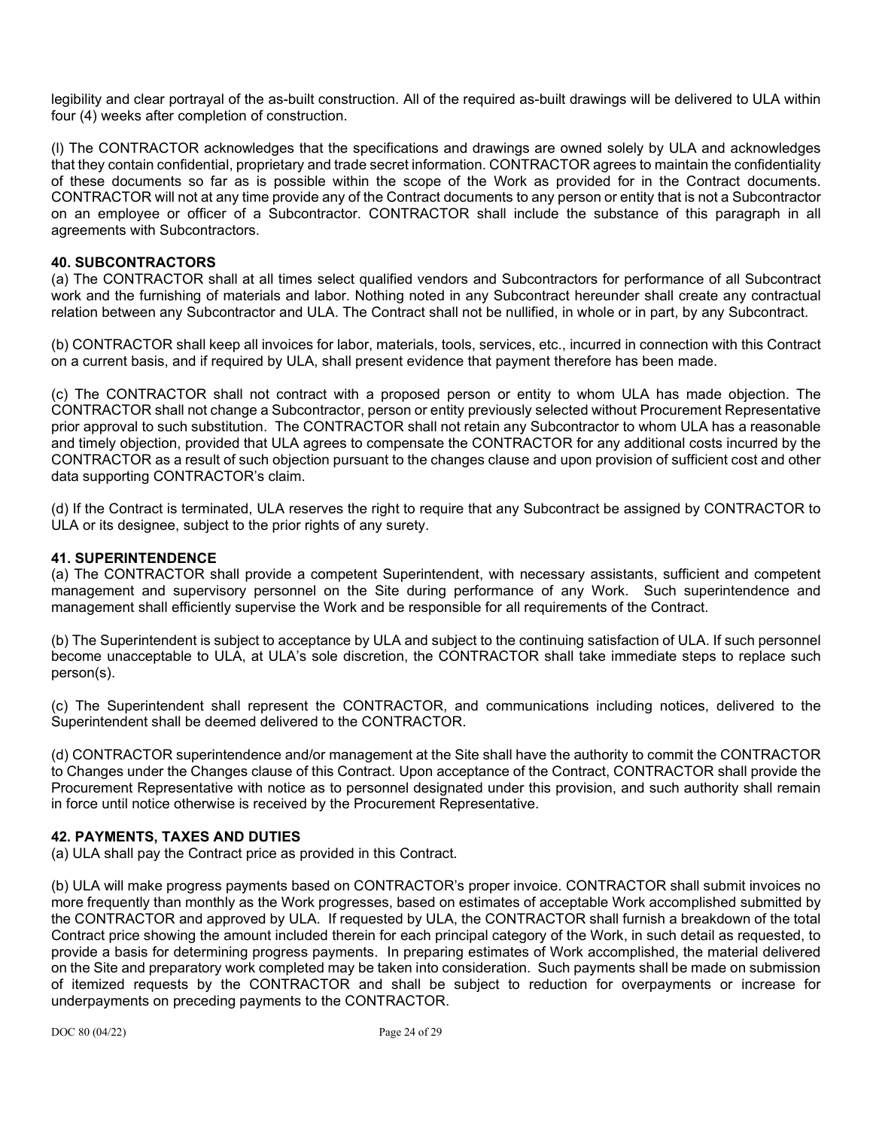legibility and clear portrayal of the as-built construction. All of the required as-built drawings will be delivered to ULA within four (4) weeks after completion of construction.

(l) The CONTRACTOR acknowledges that the specifications and drawings are owned solely by ULA and acknowledges that they contain confidential, proprietary and trade secret information. CONTRACTOR agrees to maintain the confidentiality of these documents so far as is possible within the scope of the Work as provided for in the Contract documents. CONTRACTOR will not at any time provide any of the Contract documents to any person or entity that is not a Subcontractor on an employee or officer of a Subcontractor. CONTRACTOR shall include the substance of this paragraph in all agreements with Subcontractors.

### **40. SUBCONTRACTORS**

(a) The CONTRACTOR shall at all times select qualified vendors and Subcontractors for performance of all Subcontract work and the furnishing of materials and labor. Nothing noted in any Subcontract hereunder shall create any contractual relation between any Subcontractor and ULA. The Contract shall not be nullified, in whole or in part, by any Subcontract.

(b) CONTRACTOR shall keep all invoices for labor, materials, tools, services, etc., incurred in connection with this Contract on a current basis, and if required by ULA, shall present evidence that payment therefore has been made.

(c) The CONTRACTOR shall not contract with a proposed person or entity to whom ULA has made objection. The CONTRACTOR shall not change a Subcontractor, person or entity previously selected without Procurement Representative prior approval to such substitution. The CONTRACTOR shall not retain any Subcontractor to whom ULA has a reasonable and timely objection, provided that ULA agrees to compensate the CONTRACTOR for any additional costs incurred by the CONTRACTOR as a result of such objection pursuant to the changes clause and upon provision of sufficient cost and other data supporting CONTRACTOR's claim.

(d) If the Contract is terminated, ULA reserves the right to require that any Subcontract be assigned by CONTRACTOR to ULA or its designee, subject to the prior rights of any surety.

#### **41. SUPERINTENDENCE**

(a) The CONTRACTOR shall provide a competent Superintendent, with necessary assistants, sufficient and competent management and supervisory personnel on the Site during performance of any Work. Such superintendence and management shall efficiently supervise the Work and be responsible for all requirements of the Contract.

(b) The Superintendent is subject to acceptance by ULA and subject to the continuing satisfaction of ULA. If such personnel become unacceptable to ULA, at ULA's sole discretion, the CONTRACTOR shall take immediate steps to replace such person(s).

(c) The Superintendent shall represent the CONTRACTOR, and communications including notices, delivered to the Superintendent shall be deemed delivered to the CONTRACTOR.

(d) CONTRACTOR superintendence and/or management at the Site shall have the authority to commit the CONTRACTOR to Changes under the Changes clause of this Contract. Upon acceptance of the Contract, CONTRACTOR shall provide the Procurement Representative with notice as to personnel designated under this provision, and such authority shall remain in force until notice otherwise is received by the Procurement Representative.

#### **42. PAYMENTS, TAXES AND DUTIES**

(a) ULA shall pay the Contract price as provided in this Contract.

(b) ULA will make progress payments based on CONTRACTOR's proper invoice. CONTRACTOR shall submit invoices no more frequently than monthly as the Work progresses, based on estimates of acceptable Work accomplished submitted by the CONTRACTOR and approved by ULA. If requested by ULA, the CONTRACTOR shall furnish a breakdown of the total Contract price showing the amount included therein for each principal category of the Work, in such detail as requested, to provide a basis for determining progress payments. In preparing estimates of Work accomplished, the material delivered on the Site and preparatory work completed may be taken into consideration. Such payments shall be made on submission of itemized requests by the CONTRACTOR and shall be subject to reduction for overpayments or increase for underpayments on preceding payments to the CONTRACTOR.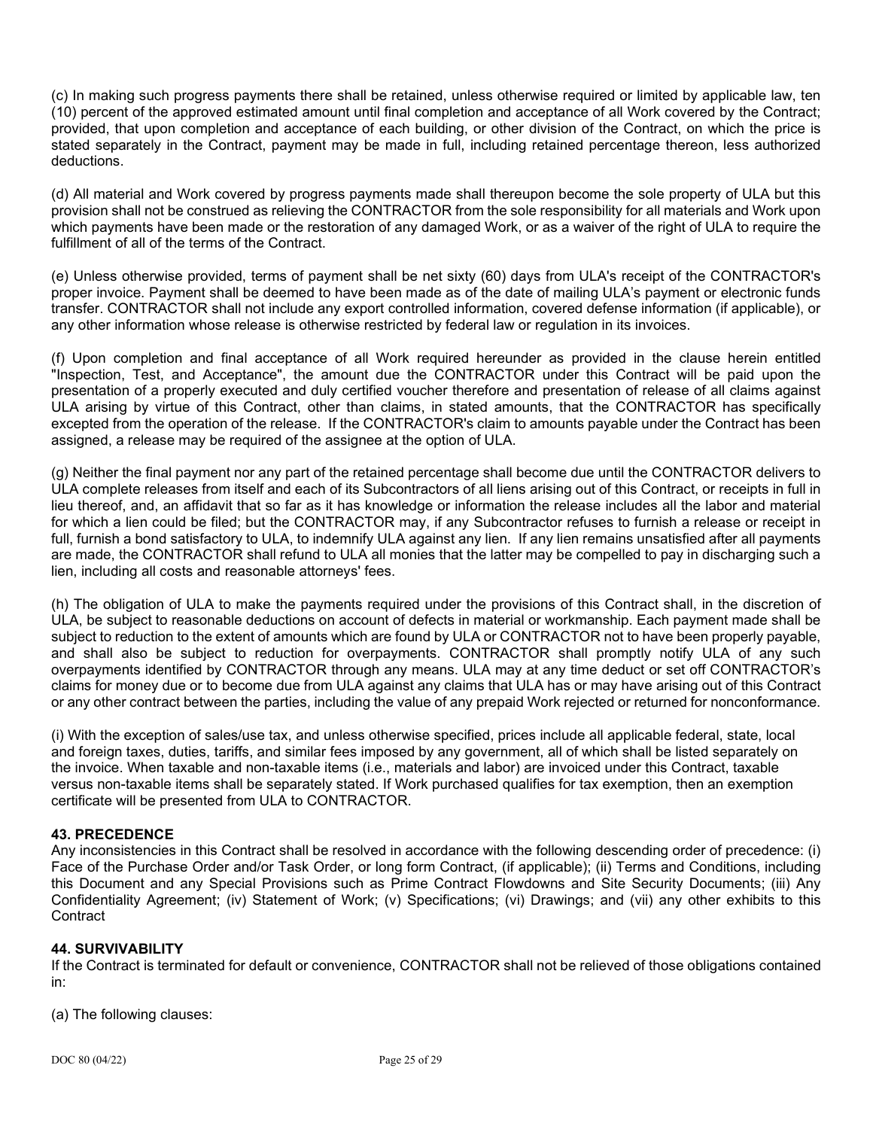(c) In making such progress payments there shall be retained, unless otherwise required or limited by applicable law, ten (10) percent of the approved estimated amount until final completion and acceptance of all Work covered by the Contract; provided, that upon completion and acceptance of each building, or other division of the Contract, on which the price is stated separately in the Contract, payment may be made in full, including retained percentage thereon, less authorized deductions.

(d) All material and Work covered by progress payments made shall thereupon become the sole property of ULA but this provision shall not be construed as relieving the CONTRACTOR from the sole responsibility for all materials and Work upon which payments have been made or the restoration of any damaged Work, or as a waiver of the right of ULA to require the fulfillment of all of the terms of the Contract.

(e) Unless otherwise provided, terms of payment shall be net sixty (60) days from ULA's receipt of the CONTRACTOR's proper invoice. Payment shall be deemed to have been made as of the date of mailing ULA's payment or electronic funds transfer. CONTRACTOR shall not include any export controlled information, covered defense information (if applicable), or any other information whose release is otherwise restricted by federal law or regulation in its invoices.

(f) Upon completion and final acceptance of all Work required hereunder as provided in the clause herein entitled "Inspection, Test, and Acceptance", the amount due the CONTRACTOR under this Contract will be paid upon the presentation of a properly executed and duly certified voucher therefore and presentation of release of all claims against ULA arising by virtue of this Contract, other than claims, in stated amounts, that the CONTRACTOR has specifically excepted from the operation of the release. If the CONTRACTOR's claim to amounts payable under the Contract has been assigned, a release may be required of the assignee at the option of ULA.

(g) Neither the final payment nor any part of the retained percentage shall become due until the CONTRACTOR delivers to ULA complete releases from itself and each of its Subcontractors of all liens arising out of this Contract, or receipts in full in lieu thereof, and, an affidavit that so far as it has knowledge or information the release includes all the labor and material for which a lien could be filed; but the CONTRACTOR may, if any Subcontractor refuses to furnish a release or receipt in full, furnish a bond satisfactory to ULA, to indemnify ULA against any lien. If any lien remains unsatisfied after all payments are made, the CONTRACTOR shall refund to ULA all monies that the latter may be compelled to pay in discharging such a lien, including all costs and reasonable attorneys' fees.

(h) The obligation of ULA to make the payments required under the provisions of this Contract shall, in the discretion of ULA, be subject to reasonable deductions on account of defects in material or workmanship. Each payment made shall be subject to reduction to the extent of amounts which are found by ULA or CONTRACTOR not to have been properly payable, and shall also be subject to reduction for overpayments. CONTRACTOR shall promptly notify ULA of any such overpayments identified by CONTRACTOR through any means. ULA may at any time deduct or set off CONTRACTOR's claims for money due or to become due from ULA against any claims that ULA has or may have arising out of this Contract or any other contract between the parties, including the value of any prepaid Work rejected or returned for nonconformance.

(i) With the exception of sales/use tax, and unless otherwise specified, prices include all applicable federal, state, local and foreign taxes, duties, tariffs, and similar fees imposed by any government, all of which shall be listed separately on the invoice. When taxable and non-taxable items (i.e., materials and labor) are invoiced under this Contract, taxable versus non-taxable items shall be separately stated. If Work purchased qualifies for tax exemption, then an exemption certificate will be presented from ULA to CONTRACTOR.

## **43. PRECEDENCE**

Any inconsistencies in this Contract shall be resolved in accordance with the following descending order of precedence: (i) Face of the Purchase Order and/or Task Order, or long form Contract, (if applicable); (ii) Terms and Conditions, including this Document and any Special Provisions such as Prime Contract Flowdowns and Site Security Documents; (iii) Any Confidentiality Agreement; (iv) Statement of Work; (v) Specifications; (vi) Drawings; and (vii) any other exhibits to this **Contract** 

## **44. SURVIVABILITY**

If the Contract is terminated for default or convenience, CONTRACTOR shall not be relieved of those obligations contained in:

(a) The following clauses: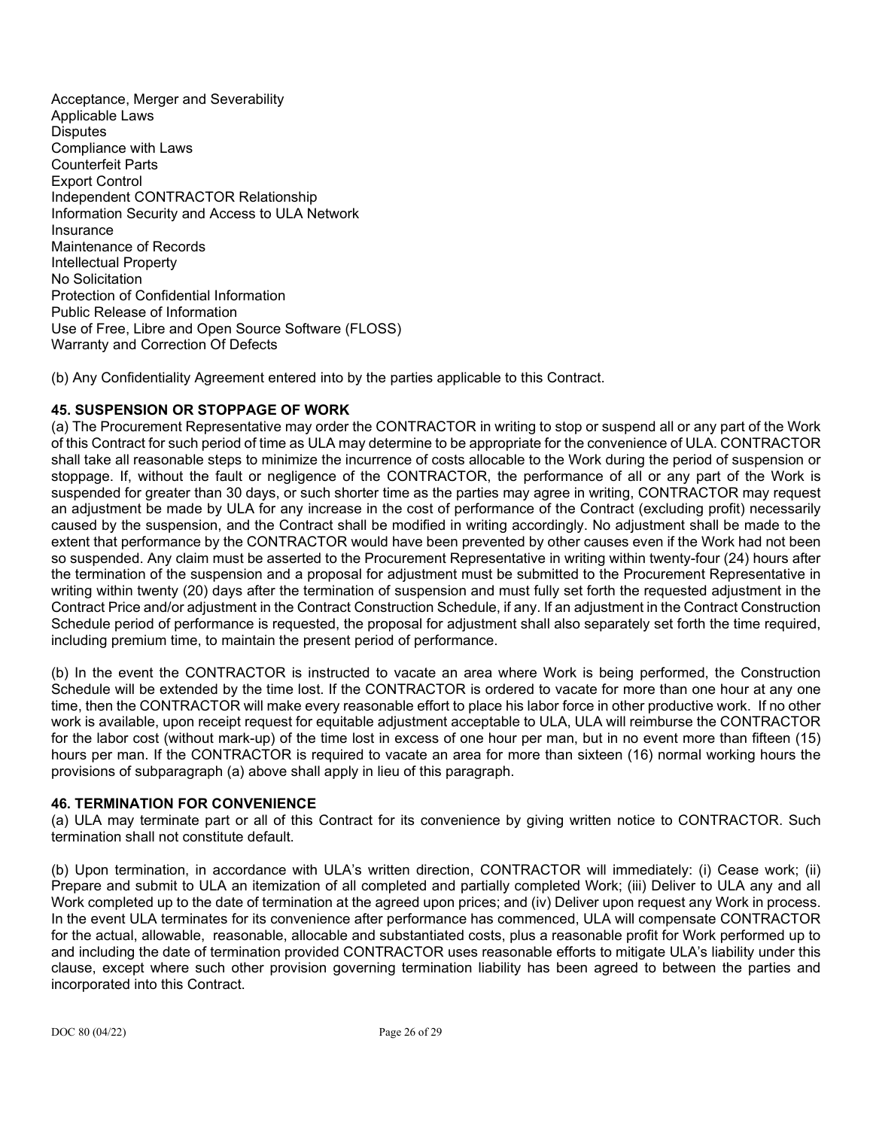Acceptance, Merger and Severability Applicable Laws **Disputes** Compliance with Laws Counterfeit Parts Export Control Independent CONTRACTOR Relationship Information Security and Access to ULA Network Insurance Maintenance of Records Intellectual Property No Solicitation Protection of Confidential Information Public Release of Information Use of Free, Libre and Open Source Software (FLOSS) Warranty and Correction Of Defects

(b) Any Confidentiality Agreement entered into by the parties applicable to this Contract.

## **45. SUSPENSION OR STOPPAGE OF WORK**

(a) The Procurement Representative may order the CONTRACTOR in writing to stop or suspend all or any part of the Work of this Contract for such period of time as ULA may determine to be appropriate for the convenience of ULA. CONTRACTOR shall take all reasonable steps to minimize the incurrence of costs allocable to the Work during the period of suspension or stoppage. If, without the fault or negligence of the CONTRACTOR, the performance of all or any part of the Work is suspended for greater than 30 days, or such shorter time as the parties may agree in writing, CONTRACTOR may request an adjustment be made by ULA for any increase in the cost of performance of the Contract (excluding profit) necessarily caused by the suspension, and the Contract shall be modified in writing accordingly. No adjustment shall be made to the extent that performance by the CONTRACTOR would have been prevented by other causes even if the Work had not been so suspended. Any claim must be asserted to the Procurement Representative in writing within twenty-four (24) hours after the termination of the suspension and a proposal for adjustment must be submitted to the Procurement Representative in writing within twenty (20) days after the termination of suspension and must fully set forth the requested adjustment in the Contract Price and/or adjustment in the Contract Construction Schedule, if any. If an adjustment in the Contract Construction Schedule period of performance is requested, the proposal for adjustment shall also separately set forth the time required, including premium time, to maintain the present period of performance.

(b) In the event the CONTRACTOR is instructed to vacate an area where Work is being performed, the Construction Schedule will be extended by the time lost. If the CONTRACTOR is ordered to vacate for more than one hour at any one time, then the CONTRACTOR will make every reasonable effort to place his labor force in other productive work. If no other work is available, upon receipt request for equitable adjustment acceptable to ULA, ULA will reimburse the CONTRACTOR for the labor cost (without mark-up) of the time lost in excess of one hour per man, but in no event more than fifteen (15) hours per man. If the CONTRACTOR is required to vacate an area for more than sixteen (16) normal working hours the provisions of subparagraph (a) above shall apply in lieu of this paragraph.

#### **46. TERMINATION FOR CONVENIENCE**

(a) ULA may terminate part or all of this Contract for its convenience by giving written notice to CONTRACTOR. Such termination shall not constitute default.

(b) Upon termination, in accordance with ULA's written direction, CONTRACTOR will immediately: (i) Cease work; (ii) Prepare and submit to ULA an itemization of all completed and partially completed Work; (iii) Deliver to ULA any and all Work completed up to the date of termination at the agreed upon prices; and (iv) Deliver upon request any Work in process. In the event ULA terminates for its convenience after performance has commenced, ULA will compensate CONTRACTOR for the actual, allowable, reasonable, allocable and substantiated costs, plus a reasonable profit for Work performed up to and including the date of termination provided CONTRACTOR uses reasonable efforts to mitigate ULA's liability under this clause, except where such other provision governing termination liability has been agreed to between the parties and incorporated into this Contract.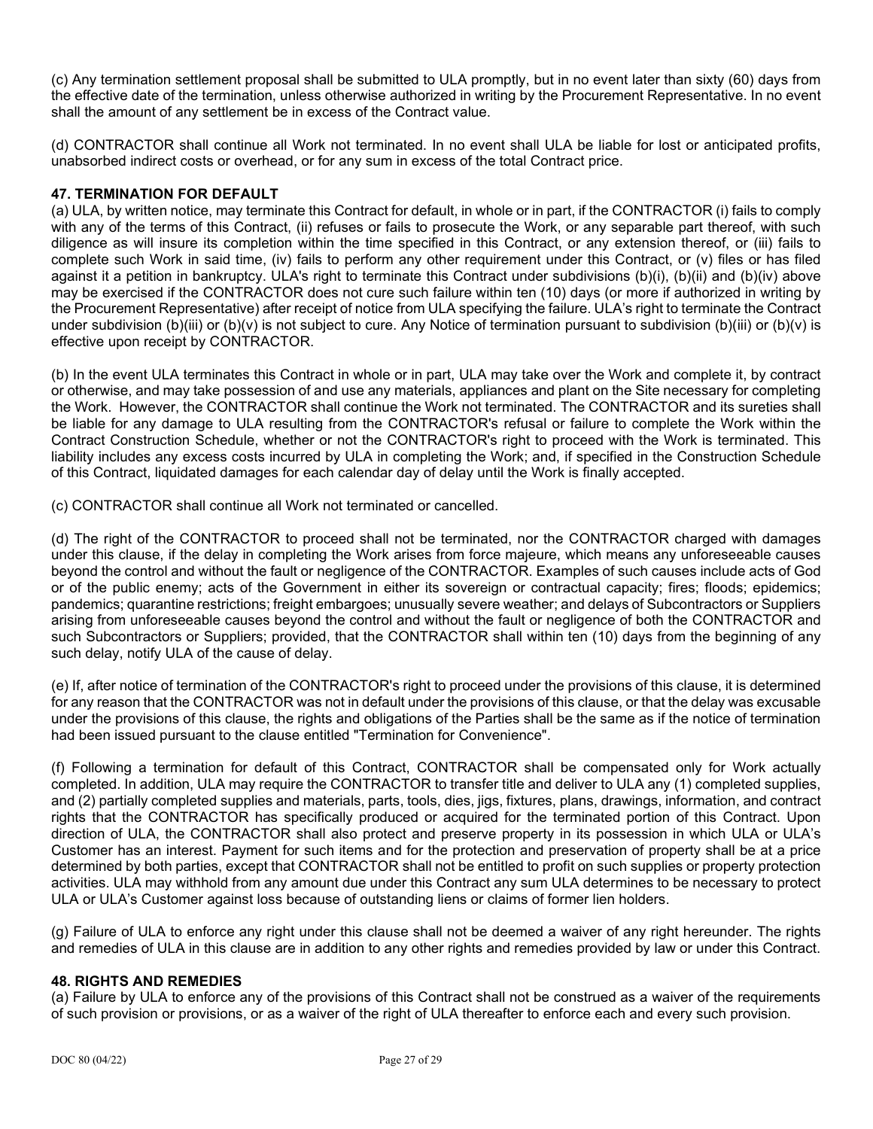(c) Any termination settlement proposal shall be submitted to ULA promptly, but in no event later than sixty (60) days from the effective date of the termination, unless otherwise authorized in writing by the Procurement Representative. In no event shall the amount of any settlement be in excess of the Contract value.

(d) CONTRACTOR shall continue all Work not terminated. In no event shall ULA be liable for lost or anticipated profits, unabsorbed indirect costs or overhead, or for any sum in excess of the total Contract price.

## **47. TERMINATION FOR DEFAULT**

(a) ULA, by written notice, may terminate this Contract for default, in whole or in part, if the CONTRACTOR (i) fails to comply with any of the terms of this Contract, (ii) refuses or fails to prosecute the Work, or any separable part thereof, with such diligence as will insure its completion within the time specified in this Contract, or any extension thereof, or (iii) fails to complete such Work in said time, (iv) fails to perform any other requirement under this Contract, or (v) files or has filed against it a petition in bankruptcy. ULA's right to terminate this Contract under subdivisions (b)(i), (b)(ii) and (b)(iv) above may be exercised if the CONTRACTOR does not cure such failure within ten (10) days (or more if authorized in writing by the Procurement Representative) after receipt of notice from ULA specifying the failure. ULA's right to terminate the Contract under subdivision (b)(iii) or (b)(v) is not subject to cure. Any Notice of termination pursuant to subdivision (b)(iii) or (b)(v) is effective upon receipt by CONTRACTOR.

(b) In the event ULA terminates this Contract in whole or in part, ULA may take over the Work and complete it, by contract or otherwise, and may take possession of and use any materials, appliances and plant on the Site necessary for completing the Work. However, the CONTRACTOR shall continue the Work not terminated. The CONTRACTOR and its sureties shall be liable for any damage to ULA resulting from the CONTRACTOR's refusal or failure to complete the Work within the Contract Construction Schedule, whether or not the CONTRACTOR's right to proceed with the Work is terminated. This liability includes any excess costs incurred by ULA in completing the Work; and, if specified in the Construction Schedule of this Contract, liquidated damages for each calendar day of delay until the Work is finally accepted.

(c) CONTRACTOR shall continue all Work not terminated or cancelled.

(d) The right of the CONTRACTOR to proceed shall not be terminated, nor the CONTRACTOR charged with damages under this clause, if the delay in completing the Work arises from force majeure, which means any unforeseeable causes beyond the control and without the fault or negligence of the CONTRACTOR. Examples of such causes include acts of God or of the public enemy; acts of the Government in either its sovereign or contractual capacity; fires; floods; epidemics; pandemics; quarantine restrictions; freight embargoes; unusually severe weather; and delays of Subcontractors or Suppliers arising from unforeseeable causes beyond the control and without the fault or negligence of both the CONTRACTOR and such Subcontractors or Suppliers; provided, that the CONTRACTOR shall within ten (10) days from the beginning of any such delay, notify ULA of the cause of delay.

(e) If, after notice of termination of the CONTRACTOR's right to proceed under the provisions of this clause, it is determined for any reason that the CONTRACTOR was not in default under the provisions of this clause, or that the delay was excusable under the provisions of this clause, the rights and obligations of the Parties shall be the same as if the notice of termination had been issued pursuant to the clause entitled "Termination for Convenience".

(f) Following a termination for default of this Contract, CONTRACTOR shall be compensated only for Work actually completed. In addition, ULA may require the CONTRACTOR to transfer title and deliver to ULA any (1) completed supplies, and (2) partially completed supplies and materials, parts, tools, dies, jigs, fixtures, plans, drawings, information, and contract rights that the CONTRACTOR has specifically produced or acquired for the terminated portion of this Contract. Upon direction of ULA, the CONTRACTOR shall also protect and preserve property in its possession in which ULA or ULA's Customer has an interest. Payment for such items and for the protection and preservation of property shall be at a price determined by both parties, except that CONTRACTOR shall not be entitled to profit on such supplies or property protection activities. ULA may withhold from any amount due under this Contract any sum ULA determines to be necessary to protect ULA or ULA's Customer against loss because of outstanding liens or claims of former lien holders.

(g) Failure of ULA to enforce any right under this clause shall not be deemed a waiver of any right hereunder. The rights and remedies of ULA in this clause are in addition to any other rights and remedies provided by law or under this Contract.

## **48. RIGHTS AND REMEDIES**

(a) Failure by ULA to enforce any of the provisions of this Contract shall not be construed as a waiver of the requirements of such provision or provisions, or as a waiver of the right of ULA thereafter to enforce each and every such provision.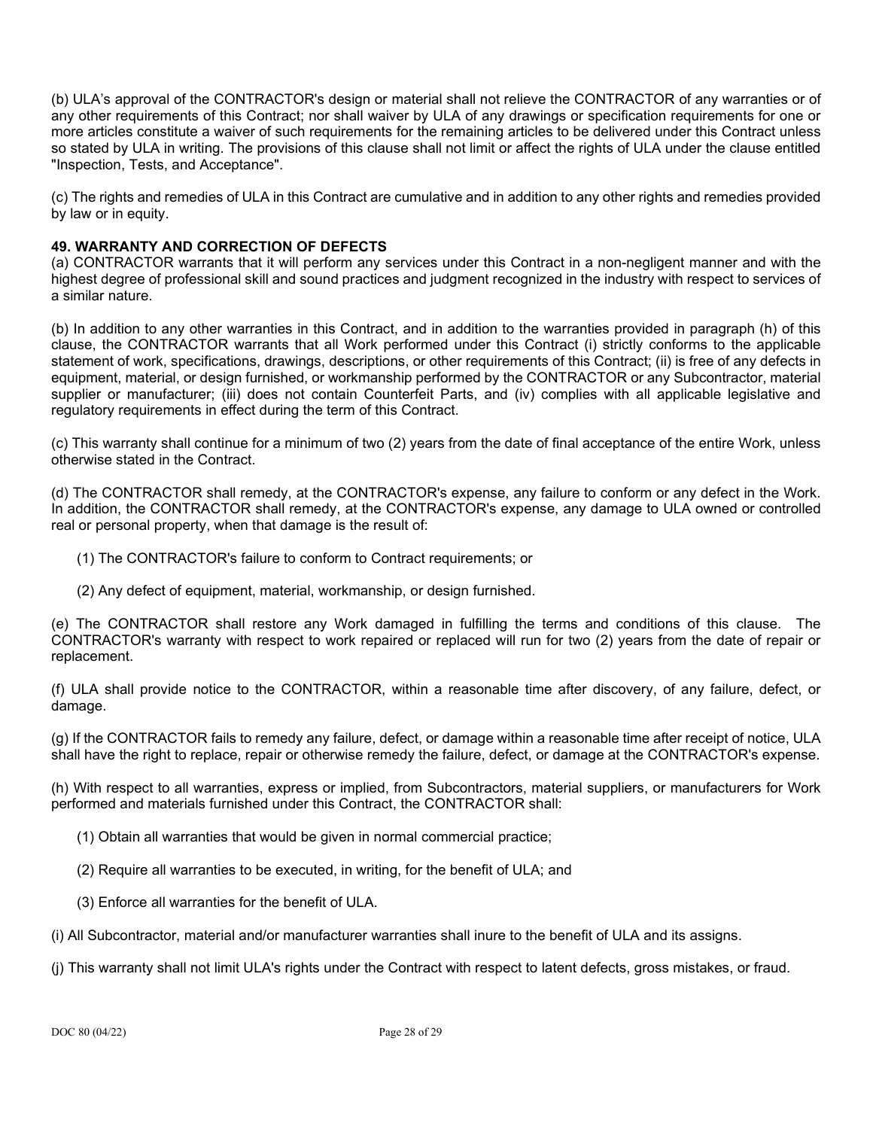(b) ULA's approval of the CONTRACTOR's design or material shall not relieve the CONTRACTOR of any warranties or of any other requirements of this Contract; nor shall waiver by ULA of any drawings or specification requirements for one or more articles constitute a waiver of such requirements for the remaining articles to be delivered under this Contract unless so stated by ULA in writing. The provisions of this clause shall not limit or affect the rights of ULA under the clause entitled "Inspection, Tests, and Acceptance".

(c) The rights and remedies of ULA in this Contract are cumulative and in addition to any other rights and remedies provided by law or in equity.

# **49. WARRANTY AND CORRECTION OF DEFECTS**

(a) CONTRACTOR warrants that it will perform any services under this Contract in a non-negligent manner and with the highest degree of professional skill and sound practices and judgment recognized in the industry with respect to services of a similar nature.

(b) In addition to any other warranties in this Contract, and in addition to the warranties provided in paragraph (h) of this clause, the CONTRACTOR warrants that all Work performed under this Contract (i) strictly conforms to the applicable statement of work, specifications, drawings, descriptions, or other requirements of this Contract; (ii) is free of any defects in equipment, material, or design furnished, or workmanship performed by the CONTRACTOR or any Subcontractor, material supplier or manufacturer; (iii) does not contain Counterfeit Parts, and (iv) complies with all applicable legislative and regulatory requirements in effect during the term of this Contract.

(c) This warranty shall continue for a minimum of two (2) years from the date of final acceptance of the entire Work, unless otherwise stated in the Contract.

(d) The CONTRACTOR shall remedy, at the CONTRACTOR's expense, any failure to conform or any defect in the Work. In addition, the CONTRACTOR shall remedy, at the CONTRACTOR's expense, any damage to ULA owned or controlled real or personal property, when that damage is the result of:

- (1) The CONTRACTOR's failure to conform to Contract requirements; or
- (2) Any defect of equipment, material, workmanship, or design furnished.

(e) The CONTRACTOR shall restore any Work damaged in fulfilling the terms and conditions of this clause. The CONTRACTOR's warranty with respect to work repaired or replaced will run for two (2) years from the date of repair or replacement.

(f) ULA shall provide notice to the CONTRACTOR, within a reasonable time after discovery, of any failure, defect, or damage.

(g) If the CONTRACTOR fails to remedy any failure, defect, or damage within a reasonable time after receipt of notice, ULA shall have the right to replace, repair or otherwise remedy the failure, defect, or damage at the CONTRACTOR's expense.

(h) With respect to all warranties, express or implied, from Subcontractors, material suppliers, or manufacturers for Work performed and materials furnished under this Contract, the CONTRACTOR shall:

- (1) Obtain all warranties that would be given in normal commercial practice;
- (2) Require all warranties to be executed, in writing, for the benefit of ULA; and
- (3) Enforce all warranties for the benefit of ULA.
- (i) All Subcontractor, material and/or manufacturer warranties shall inure to the benefit of ULA and its assigns.
- (j) This warranty shall not limit ULA's rights under the Contract with respect to latent defects, gross mistakes, or fraud.